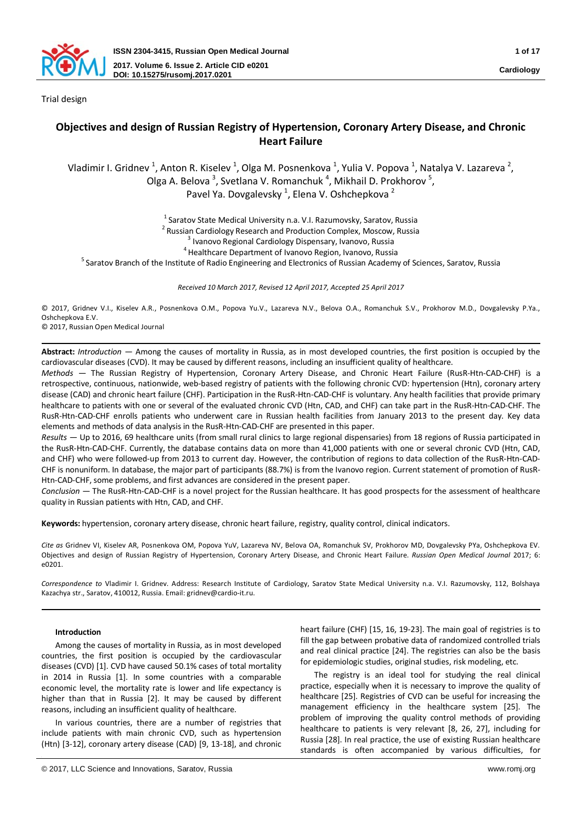

Trial design

# **Objectives and design of Russian Registry of Hypertension, Coronary Artery Disease, and Chronic Heart Failure**

Vladimir I. Gridnev <sup>1</sup>, Anton R. Kiselev <sup>1</sup>, Olga M. Posnenkova <sup>1</sup>, Yulia V. Popova <sup>1</sup>, Natalya V. Lazareva <sup>2</sup>, Olga A. Belova<sup>3</sup>, Svetlana V. Romanchuk<sup>4</sup>, Mikhail D. Prokhorov<sup>5</sup>, Pavel Ya. Dovgalevsky<sup>1</sup>, Elena V. Oshchepkova<sup>2</sup>

<sup>1</sup> Saratov State Medical University n.a. V.I. Razumovsky, Saratov, Russia<br><sup>2</sup> Russian Cardiology Research and Production Complex, Moscow, Russia<br><sup>3</sup> Ivanovo Regional Cardiology Dispensary, Ivanovo, Russia<br><sup>5</sup> Saratov Bra

*Received 10 March 2017, Revised 12 April 2017, Accepted 25 April 2017*

© 2017, Gridnev V.I., Kiselev A.R., Posnenkova O.M., Popova Yu.V., Lazareva N.V., Belova O.A., Romanchuk S.V., Prokhorov M.D., Dovgalevsky P.Ya., Oshchepkova E.V.

© 2017, Russian Open Medical Journal

**Abstract:** *Introduction* ― Among the causes of mortality in Russia, as in most developed countries, the first position is occupied by the cardiovascular diseases (CVD). It may be caused by different reasons, including an insufficient quality of healthcare.

*Methods* ― The Russian Registry of Hypertension, Coronary Artery Disease, and Chronic Heart Failure (RusR-Htn-CAD-CHF) is a retrospective, continuous, nationwide, web-based registry of patients with the following chronic CVD: hypertension (Htn), coronary artery disease (CAD) and chronic heart failure (CHF). Participation in the RusR-Htn-CAD-CHF is voluntary. Any health facilities that provide primary healthcare to patients with one or several of the evaluated chronic CVD (Htn, CAD, and CHF) can take part in the RusR-Htn-CAD-CHF. The RusR-Htn-CAD-CHF enrolls patients who underwent care in Russian health facilities from January 2013 to the present day. Key data elements and methods of data analysis in the RusR-Htn-CAD-CHF are presented in this paper.

*Results* ― Up to 2016, 69 healthcare units (from small rural clinics to large regional dispensaries) from 18 regions of Russia participated in the RusR-Htn-CAD-CHF. Currently, the database contains data on more than 41,000 patients with one or several chronic CVD (Htn, CAD, and CHF) who were followed-up from 2013 to current day. However, the contribution of regions to data collection of the RusR-Htn-CAD-CHF is nonuniform. In database, the major part of participants (88.7%) is from the Ivanovo region. Current statement of promotion of RusR-Htn-CAD-CHF, some problems, and first advances are considered in the present paper.

*Conclusion* ― The RusR-Htn-CAD-CHF is a novel project for the Russian healthcare. It has good prospects for the assessment of healthcare quality in Russian patients with Htn, CAD, and CHF.

**Keywords:** hypertension, coronary artery disease, chronic heart failure, registrу, quality control, clinical indicators.

*Cite as* Gridnev VI, Kiselev AR, Posnenkova OM, Popova YuV, Lazareva NV, Belova OA, Romanchuk SV, Prokhorov MD, Dovgalevsky PYa, Oshchepkova EV. Objectives and design of Russian Registry of Hypertension, Coronary Artery Disease, and Chronic Heart Failure. *Russian Open Medical Journal* 2017; 6: e0201.

*Correspondence to* Vladimir I. Gridnev. Address: Research Institute of Cardiology, Saratov State Medical University n.a. V.I. Razumovsky, 112, Bolshaya Kazachya str., Saratov, 410012, Russia. Email: gridnev@cardio-it.ru.

# **Introduction**

Among the causes of mortality in Russia, as in most developed countries, the first position is occupied by the cardiovascular diseases (CVD) [1]. CVD have caused 50.1% cases of total mortality in 2014 in Russia [1]. In some countries with a comparable economic level, the mortality rate is lower and life expectancy is higher than that in Russia [2]. It may be caused by different reasons, including an insufficient quality of healthcare.

In various countries, there are a number of registries that include patients with main chronic CVD, such as hypertension (Htn) [3-12], coronary artery disease (CAD) [9, 13-18], and chronic heart failure (CHF) [15, 16, 19-23]. The main goal of registries is to fill the gap between probative data of randomized controlled trials and real clinical practice [24]. The registries can also be the basis for epidemiologic studies, original studies, risk modeling, etc.

The registry is an ideal tool for studying the real clinical practice, especially when it is necessary to improve the quality of healthcare [25]. Registries of CVD can be useful for increasing the management efficiency in the healthcare system [25]. The problem of improving the quality control methods of providing healthcare to patients is very relevant [8, 26, 27], including for Russia [28]. In real practice, the use of existing Russian healthcare standards is often accompanied by various difficulties, for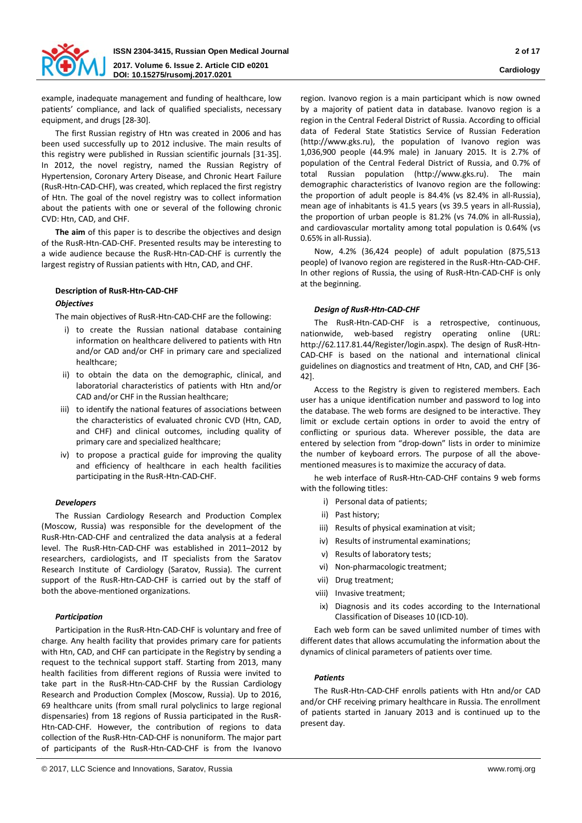

example, inadequate management and funding of healthcare, low patients' compliance, and lack of qualified specialists, necessary equipment, and drugs [28-30].

The first Russian registry of Htn was created in 2006 and has been used successfully up to 2012 inclusive. The main results of this registry were published in Russian scientific journals [31-35]. In 2012, the novel registry, named the Russian Registry of Hypertension, Coronary Artery Disease, and Chronic Heart Failure (RusR-Htn-CAD-CHF), was created, which replaced the first registry of Htn. The goal of the novel registry was to collect information about the patients with one or several of the following chronic CVD: Htn, CAD, and CHF.

**The aim** of this paper is to describe the objectives and design of the RusR-Htn-CAD-CHF. Presented results may be interesting to a wide audience because the RusR-Htn-CAD-CHF is currently the largest registry of Russian patients with Htn, CAD, and CHF.

# **Description of RusR-Htn-CAD-CHF**

# *Objectives*

The main objectives of RusR-Htn-CAD-CHF are the following:

- i) to create the Russian national database containing information on healthcare delivered to patients with Htn and/or CAD and/or CHF in primary care and specialized healthcare;
- ii) to obtain the data on the demographic, clinical, and laboratorial characteristics of patients with Htn and/or CAD and/or CHF in the Russian healthcare;
- iii) to identify the national features of associations between the characteristics of evaluated chronic CVD (Htn, CAD, and CHF) and clinical outcomes, including quality of primary care and specialized healthcare;
- iv) to propose a practical guide for improving the quality and efficiency of healthcare in each health facilities participating in the RusR-Htn-CAD-CHF.

# *Developers*

The Russian Cardiology Research and Production Complex (Moscow, Russia) was responsible for the development of the RusR-Htn-CAD-CHF and centralized the data analysis at a federal level. The RusR-Htn-CAD-CHF was established in 2011–2012 by researchers, cardiologists, and IT specialists from the Saratov Research Institute of Cardiology (Saratov, Russia). The current support of the RusR-Htn-CAD-CHF is carried out by the staff of both the above-mentioned organizations.

# *Participation*

Participation in the RusR-Htn-CAD-CHF is voluntary and free of charge. Any health facility that provides primary care for patients with Htn, CAD, and CHF can participate in the Registry by sending a request to the technical support staff. Starting from 2013, many health facilities from different regions of Russia were invited to take part in the RusR-Htn-CAD-CHF by the Russian Cardiology Research and Production Complex (Moscow, Russia). Up to 2016, 69 healthcare units (from small rural polyclinics to large regional dispensaries) from 18 regions of Russia participated in the RusR-Htn-CAD-CHF. However, the contribution of regions to data collection of the RusR-Htn-CAD-CHF is nonuniform. The major part of participants of the RusR-Htn-CAD-CHF is from the Ivanovo

region. Ivanovo region is a main participant which is now owned by a majority of patient data in database. Ivanovo region is a region in the Central Federal District of Russia. According to official data of Federal State Statistics Service of Russian Federation (http://www.gks.ru), the population of Ivanovo region was 1,036,900 people (44.9% male) in January 2015. It is 2.7% of population of the Central Federal District of Russia, and 0.7% of total Russian population (http://www.gks.ru). The main demographic characteristics of Ivanovo region are the following: the proportion of adult people is 84.4% (vs 82.4% in all-Russia), mean age of inhabitants is 41.5 years (vs 39.5 years in all-Russia), the proportion of urban people is 81.2% (vs 74.0% in all-Russia), and cardiovascular mortality among total population is 0.64% (vs 0.65% in all-Russia).

Now, 4.2% (36,424 people) of adult population (875,513 people) of Ivanovo region are registered in the RusR-Htn-CAD-CHF. In other regions of Russia, the using of RusR-Htn-CAD-CHF is only at the beginning.

### *Design of RusR-Htn-CAD-CHF*

The RusR-Htn-CAD-CHF is a retrospective, continuous, nationwide, web-based registry operating online (URL: http://62.117.81.44/Register/login.aspx). The design of RusR-Htn-CAD-CHF is based on the national and international clinical guidelines on diagnostics and treatment of Htn, CAD, and CHF [36- 42].

Access to the Registry is given to registered members. Each user has a unique identification number and password to log into the database. The web forms are designed to be interactive. They limit or exclude certain options in order to avoid the entry of conflicting or spurious data. Wherever possible, the data are entered by selection from "drop-down" lists in order to minimize the number of keyboard errors. The purpose of all the abovementioned measures is to maximize the accuracy of data.

he web interface of RusR-Htn-CAD-CHF contains 9 web forms with the following titles:

- i) Personal data of patients;
- ii) Past history;
- iii) Results of physical examination at visit;
- iv) Results of instrumental examinations;
- v) Results of laboratory tests;
- vi) Non-pharmacologic treatment;
- vii) Drug treatment;
- viii) Invasive treatment;
- ix) Diagnosis and its codes according to the International Classification of Diseases 10 (ICD-10).

Each web form can be saved unlimited number of times with different dates that allows accumulating the information about the dynamics of clinical parameters of patients over time.

### *Patients*

The RusR-Htn-CAD-CHF enrolls patients with Htn and/or CAD and/or CHF receiving primary healthcare in Russia. The enrollment of patients started in January 2013 and is continued up to the present day.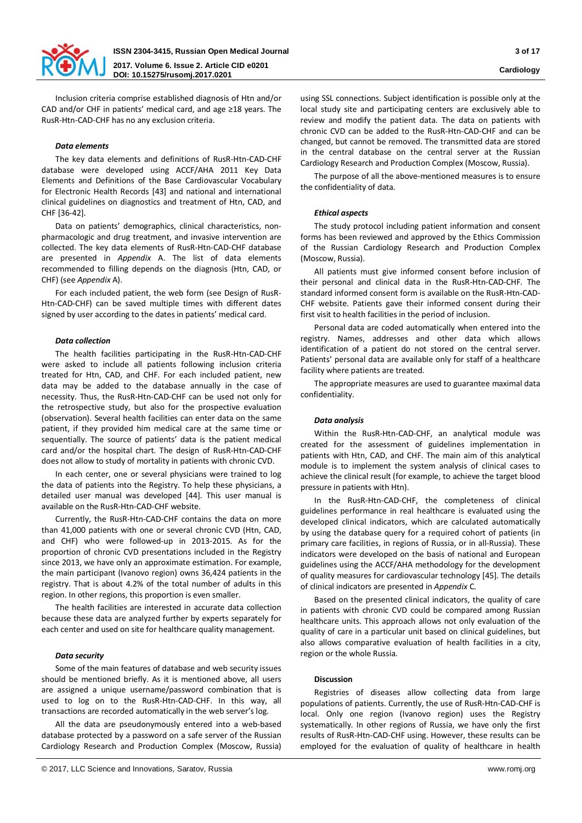

Inclusion criteria comprise established diagnosis of Htn and/or CAD and/or CHF in patients' medical card, and age ≥18 years. The RusR-Htn-CAD-CHF has no any exclusion criteria.

### *Data elements*

The key data elements and definitions of RusR-Htn-CAD-CHF database were developed using ACCF/AHA 2011 Key Data Elements and Definitions of the Base Cardiovascular Vocabulary for Electronic Health Records [43] and national and international clinical guidelines on diagnostics and treatment of Htn, CAD, and CHF [36-42].

Data on patients' demographics, clinical characteristics, nonpharmacologic and drug treatment, and invasive intervention are collected. The key data elements of RusR-Htn-CAD-CHF database are presented in *Appendix* A. The list of data elements recommended to filling depends on the diagnosis (Htn, CAD, or CHF) (see *Appendix* A).

For each included patient, the web form (see Design of RusR-Htn-CAD-CHF) can be saved multiple times with different dates signed by user according to the dates in patients' medical card.

### *Data collection*

The health facilities participating in the RusR-Htn-CAD-CHF were asked to include all patients following inclusion criteria treated for Htn, CAD, and CHF. For each included patient, new data may be added to the database annually in the case of necessity. Thus, the RusR-Htn-CAD-CHF can be used not only for the retrospective study, but also for the prospective evaluation (observation). Several health facilities can enter data on the same patient, if they provided him medical care at the same time or sequentially. The source of patients' data is the patient medical card and/or the hospital chart. Тhe design of RusR-Htn-CAD-CHF does not allow to study of mortality in patients with chronic CVD.

In each center, one or several physicians were trained to log the data of patients into the Registry. To help these physicians, a detailed user manual was developed [44]. This user manual is available on the RusR-Htn-CAD-CHF website.

Currently, the RusR-Htn-CAD-CHF contains the data on more than 41,000 patients with one or several chronic CVD (Htn, CAD, and CHF) who were followed-up in 2013-2015. As for the proportion of chronic CVD presentations included in the Registry since 2013, we have only an approximate estimation. For example, the main participant (Ivanovo region) owns 36,424 patients in the registry. That is about 4.2% of the total number of adults in this region. In other regions, this proportion is even smaller.

The health facilities are interested in accurate data collection because these data are analyzed further by experts separately for each center and used on site for healthcare quality management.

### *Data security*

Some of the main features of database and web security issues should be mentioned briefly. As it is mentioned above, all users are assigned a unique username/password combination that is used to log on to the RusR-Htn-CAD-CHF. In this way, all transactions are recorded automatically in the web server's log.

All the data are pseudonymously entered into a web-based database protected by a password on a safe server of the Russian Cardiology Research and Production Complex (Moscow, Russia)

using SSL connections. Subject identification is possible only at the local study site and participating centers are exclusively able to review and modify the patient data. The data on patients with chronic CVD can be added to the RusR-Htn-CAD-CHF and can be changed, but cannot be removed. The transmitted data are stored in the central database on the central server at the Russian Cardiology Research and Production Complex (Moscow, Russia).

The purpose of all the above-mentioned measures is to ensure the confidentiality of data.

### *Ethical aspects*

The study protocol including patient information and consent forms has been reviewed and approved by the Ethics Commission of the Russian Cardiology Research and Production Complex (Moscow, Russia).

All patients must give informed consent before inclusion of their personal and clinical data in the RusR-Htn-CAD-CHF. The standard informed consent form is available on the RusR-Htn-CAD-CHF website. Patients gave their informed consent during their first visit to health facilities in the period of inclusion.

Personal data are coded automatically when entered into the registry. Names, addresses and other data which allows identification of a patient do not stored on the central server. Patients' personal data are available only for staff of a healthcare facility where patients are treated.

The appropriate measures are used to guarantee maximal data confidentiality.

### *Data analysis*

Within the RusR-Htn-CAD-CHF, an analytical module was created for the assessment of guidelines implementation in patients with Htn, CAD, and CHF. The main aim of this analytical module is to implement the system analysis of clinical cases to achieve the clinical result (for example, to achieve the target blood pressure in patients with Htn).

In the RusR-Htn-CAD-CHF, the completeness of clinical guidelines performance in real healthcare is evaluated using the developed clinical indicators, which are calculated automatically by using the database query for a required cohort of patients (in primary care facilities, in regions of Russia, or in all-Russia). These indicators were developed on the basis of national and European guidelines using the ACCF/AHA methodology for the development of quality measures for cardiovascular technology [45]. The details of clinical indicators are presented in *Appendix* C.

Based on the presented clinical indicators, the quality of care in patients with chronic CVD could be compared among Russian healthcare units. This approach allows not only evaluation of the quality of care in a particular unit based on clinical guidelines, but also allows comparative evaluation of health facilities in a city, region or the whole Russia.

#### **Discussion**

Registries of diseases allow collecting data from large populations of patients. Currently, the use of RusR-Htn-CAD-CHF is local. Only one region (Ivanovo region) uses the Registry systematically. In other regions of Russia, we have only the first results of RusR-Htn-CAD-CHF using. However, these results can be employed for the evaluation of quality of healthcare in health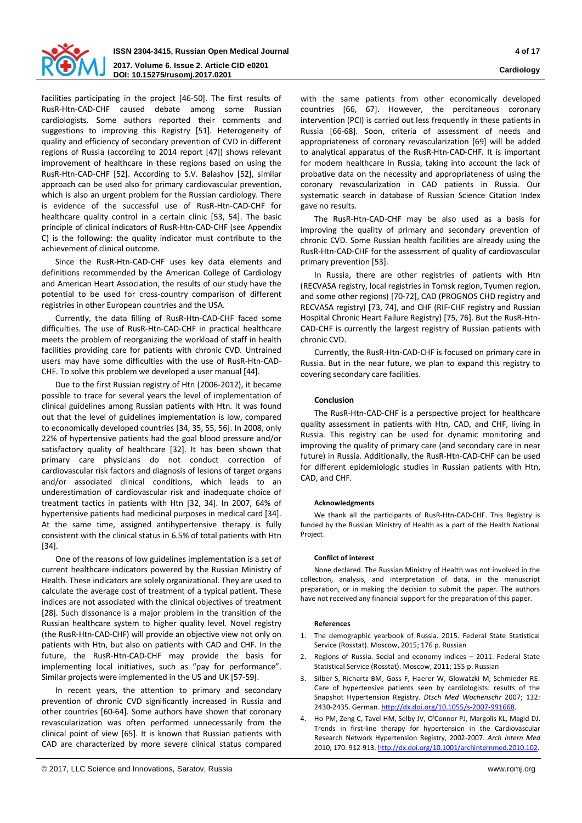

facilities participating in the project [46-50]. The first results of RusR-Htn-CAD-CHF caused debate among some Russian cardiologists. Some authors reported their comments and suggestions to improving this Registry [51]. Heterogeneity of quality and efficiency of secondary prevention of CVD in different regions of Russia (according to 2014 report [47]) shows relevant improvement of healthcare in these regions based on using the RusR-Htn-CAD-CHF [52]. According to S.V. Balashov [52], similar approach can be used also for primary cardiovascular prevention, which is also an urgent problem for the Russian cardiology. There is evidence of the successful use of RusR-Htn-CAD-CHF for healthcare quality control in a certain clinic [53, 54]. The basic principle of clinical indicators of RusR-Htn-CAD-CHF (see Appendix C) is the following: the quality indicator must contribute to the achievement of clinical outcome.

Since the RusR-Htn-CAD-CHF uses key data elements and definitions recommended by the American College of Cardiology and American Heart Association, the results of our study have the potential to be used for cross-country comparison of different registries in other European countries and the USA.

Currently, the data filling of RusR-Htn-CAD-CHF faced some difficulties. The use of RusR-Htn-CAD-CHF in practical healthcare meets the problem of reorganizing the workload of staff in health facilities providing care for patients with chronic CVD. Untrained users may have some difficulties with the use of RusR-Htn-CAD-CHF. To solve this problem we developed a user manual [44].

Due to the first Russian registry of Htn (2006-2012), it became possible to trace for several years the level of implementation of clinical guidelines among Russian patients with Htn. It was found out that the level of guidelines implementation is low, compared to economically developed countries [34, 35, 55, 56]. In 2008, only 22% of hypertensive patients had the goal blood pressure and/or satisfactory quality of healthcare [32]. It has been shown that primary care physicians do not conduct correction of cardiovascular risk factors and diagnosis of lesions of target organs and/or associated clinical conditions, which leads to an underestimation of cardiovascular risk and inadequate choice of treatment tactics in patients with Htn [32, 34]. In 2007, 64% of hypertensive patients had medicinal purposes in medical card [34]. At the same time, assigned antihypertensive therapy is fully consistent with the clinical status in 6.5% of total patients with Htn [34].

One of the reasons of low guidelines implementation is a set of current healthcare indicators powered by the Russian Ministry of Health. These indicators are solely organizational. They are used to calculate the average cost of treatment of a typical patient. These indices are not associated with the clinical objectives of treatment [28]. Such dissonance is a major problem in the transition of the Russian healthcare system to higher quality level. Novel registry (the RusR-Htn-CAD-CHF) will provide an objective view not only on patients with Htn, but also on patients with CAD and CHF. In the future, the RusR-Htn-CAD-CHF may provide the basis for implementing local initiatives, such as "pay for performance". Similar projects were implemented in the US and UK [57-59].

In recent years, the attention to primary and secondary prevention of chronic CVD significantly increased in Russia and other countries [60-64]. Some authors have shown that coronary revascularization was often performed unnecessarily from the clinical point of view [65]. It is known that Russian patients with CAD are characterized by more severe clinical status compared with the same patients from other economically developed countries [66, 67]. However, the percitaneous coronary intervention (PCI) is carried out less frequently in these patients in Russia [66-68]. Soon, criteria of assessment of needs and appropriateness of coronary revascularization [69] will be added to analytical apparatus of the RusR-Htn-CAD-CHF. It is important for modern healthcare in Russia, taking into account the lack of probative data on the necessity and appropriateness of using the coronary revascularization in CAD patients in Russia. Our systematic search in database of Russian Science Citation Index gave no results.

The RusR-Htn-CAD-CHF may be also used as a basis for improving the quality of primary and secondary prevention of chronic CVD. Some Russian health facilities are already using the RusR-Htn-CAD-CHF for the assessment of quality of cardiovascular primary prevention [53].

In Russia, there are other registries of patients with Htn (RECVASA registry, local registries in Tomsk region, Tyumen region, and some other regions) [70-72], CAD (PROGNOS CHD registry and RECVASA registry) [73, 74], and CHF (RIF-CHF registry and Russian Hospital Chronic Heart Failure Registry) [75, 76]. But the RusR-Htn-CAD-CHF is currently the largest registry of Russian patients with chronic CVD.

Currently, the RusR-Htn-CAD-CHF is focused on primary care in Russia. But in the near future, we plan to expand this registry to covering secondary care facilities.

# **Conclusion**

The RusR-Htn-CAD-CHF is a perspective project for healthcare quality assessment in patients with Htn, CAD, and CHF, living in Russia. This registry can be used for dynamic monitoring and improving the quality of primary care (and secondary care in near future) in Russia. Additionally, the RusR-Htn-CAD-CHF can be used for different epidemiologic studies in Russian patients with Htn, CAD, and CHF.

### **Acknowledgments**

We thank all the participants of RusR-Htn-CAD-CHF. This Registry is funded by the Russian Ministry of Health as a part of the Health National Project.

#### **Conflict of interest**

None declared. The Russian Ministry of Health was not involved in the collection, analysis, and interpretation of data, in the manuscript preparation, or in making the decision to submit the paper. The authors have not received any financial support for the preparation of this paper.

#### **References**

- 1. The demographic yearbook of Russia. 2015. Federal State Statistical Service (Rosstat). Moscow, 2015; 176 p. Russian
- 2. Regions of Russia. Social and economy indices 2011. Federal State Statistical Service (Rosstat). Moscow, 2011; 155 p. Russian
- 3. Silber S, Richartz BM, Goss F, Haerer W, Glowatzki M, Schmieder RE. Care of hypertensive patients seen by cardiologists: results of the Snapshot Hypertension Registry. *Dtsch Med Wochenschr* 2007; 132: 2430-2435. German. http://dx.doi.org[/10.1055/s-2007-991668.](http://dx.doi.org/10.1055/s-2007-991668)
- 4. Ho PM, Zeng C, Tavel HM, Selby JV, O'Connor PJ, Margolis KL, Magid DJ. Trends in first-line therapy for hypertension in the Cardiovascular Research Network Hypertension Registry, 2002-2007. *Arch Intern Med* 2010; 170: 912-913. <http://dx.doi.org/10.1001/archinternmed.2010.102>.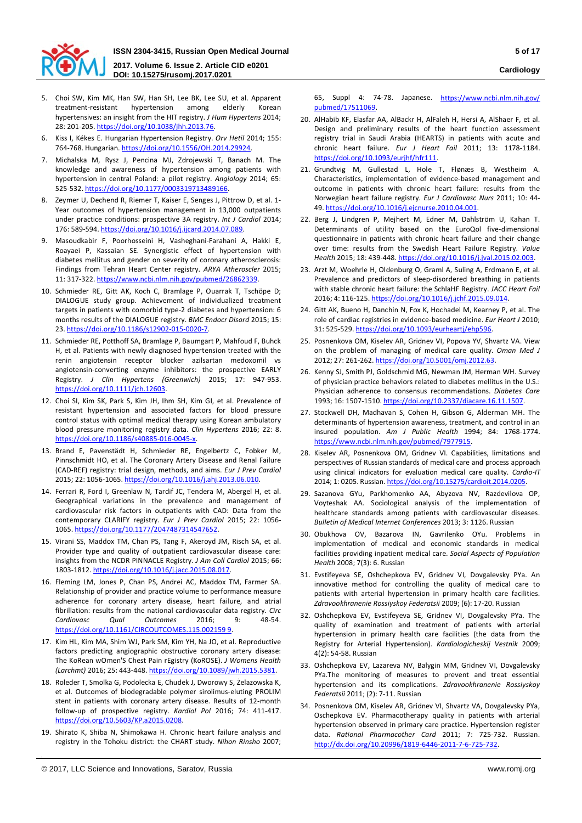

- 5. Choi SW, Kim MK, Han SW, Han SH, Lee BK, Lee SU, et al. Apparent treatment-resistant hypertension among elderly Korean hypertensives: an insight from the HIT registry. *J Hum Hypertens* 2014; 28: 201-205. <https://doi.org/10.1038/jhh.2013.76>.
- 6. Kiss I, Kékes E. Hungarian Hypertension Registry. *Orv Hetil* 2014; 155: 764-768. Hungarian. <https://doi.org/10.1556/OH.2014.29924>.
- 7. Michalska M, Rysz J, Pencina MJ, Zdrojewski T, Banach M. The knowledge and awareness of hypertension among patients with hypertension in central Poland: a pilot registry. *Angiology* 2014; 65: 525-532. <https://doi.org/10.1177/0003319713489166>.
- 8. Zeymer U, Dechend R, Riemer T, Kaiser E, Senges J, Pittrow D, et al. 1- Year outcomes of hypertension management in 13,000 outpatients under practice conditions: prospective 3A registry. *Int J Cardiol* 2014; 176: 589-594. <https://doi.org/10.1016/j.ijcard.2014.07.089>.
- 9. Masoudkabir F, Poorhosseini H, Vasheghani-Farahani A, Hakki E, Roayaei P, Kassaian SE. Synergistic effect of hypertension with diabetes mellitus and gender on severity of coronary atherosclerosis: Findings from Tehran Heart Center registry. *ARYA Atheroscler* 2015; 11: 317-322. <https://www.ncbi.nlm.nih.gov/pubmed/26862339>.
- 10. Schmieder RE, Gitt AK, Koch C, Bramlage P, Ouarrak T, Tschöpe D; DIALOGUE study group. Achievement of individualized treatment targets in patients with comorbid type-2 diabetes and hypertension: 6 months results of the DIALOGUE registry. *BMC Endocr Disord* 2015; 15: 23. [https://doi.org/10.1186/s12902](https://doi.org/10.1186/s12902-015-0020-7)-015-0020-7.
- 11. Schmieder RE, Potthoff SA, Bramlage P, Baumgart P, Mahfoud F, Buhck H, et al. Patients with newly diagnosed hypertension treated with the renin angiotensin receptor blocker azilsartan medoxomil vs angiotensin-converting enzyme inhibitors: the prospective EARLY Registry. *J Clin Hypertens (Greenwich)* 2015; 17: 947-953. <https://doi.org/10.1111/jch.12603>.
- 12. Choi SI, Kim SK, Park S, Kim JH, Ihm SH, Kim GI, et al. Prevalence of resistant hypertension and associated factors for blood pressure control status with optimal medical therapy using Korean ambulatory blood pressure monitoring registry data. *Clin Hypertens* 2016; 22: 8. [https://doi.org/10.1186/s40885](https://doi.org/10.1186/s40885-016-0045-x)-016-0045-x.
- 13. Brand E, Pavenstädt H, Schmieder RE, Engelbertz C, Fobker M, Pinnschmidt HO, et al. The Coronary Artery Disease and Renal Failure (CAD-REF) registry: trial design, methods, and aims. *Eur J Prev Cardiol* 2015; 22: 1056-1065. [https://doi.org/10.1016/j.ahj.2013.06](https://doi.org/10.1016/j.ahj.2013.06.010).010.
- 14. Ferrari R, Ford I, Greenlaw N, Tardif JC, Tendera M, Abergel H, et al. Geographical variations in the prevalence and management of cardiovascular risk factors in outpatients with CAD: Data from the contemporary CLARIFY registry. *Eur J Prev Cardiol* 2015; 22: 1056- 1065. <https://doi.org/10.1177/2047487314547652>.
- 15. Virani SS, Maddox TM, Chan PS, Tang F, Akeroyd JM, Risch SA, et al. Provider type and quality of outpatient cardiovascular disease care: insights from the NCDR PINNACLE Registry. *J Am Coll Cardiol* 2015; 66: 1803-1812. <https://doi.org/10.1016/j.jacc.2015.08.017>.
- 16. Fleming LM, Jones P, Chan PS, Andrei AC, Maddox TM, Farmer SA. Relationship of provider and practice volume to performance measure adherence for coronary artery disease, heart failure, and atrial fibrillation: results from the national cardiovascular data registry. *Circ Cardiovasc Qual Outcomes* 2016; 9: 48-54. [https://doi.org/10.1161/CIRCOUTCOMES.115.002159 9](https://doi.org/10.1161/CIRCOUTCOMES.115.002159%209).
- 17. Kim HL, Kim MA, Shim WJ, Park SM, Kim YH, Na JO, et al. Reproductive factors predicting angiographic obstructive coronary artery disease: The KoRean wOmen'S Chest Pain rEgistry (KoROSE). *J Womens Health (Larchmt)* 2016; 25: 443-448. <https://doi.org/10.1089/jwh.2015.5381>.
- 18. Roleder T, Smolka G, Podolecka E, Chudek J, Dworowy S, Żelazowska K, et al. Outcomes of biodegradable polymer sirolimus-eluting PROLIM stent in patients with coronary artery disease. Results of 12-month follow-up of prospective registry. *Kardiol Pol* 2016; 74: 411-417. <https://doi.org/10.5603/KP.a2015.0208>.
- 19. Shirato K, Shiba N, Shimokawa H. Chronic heart failure analysis and registry in the Tohoku district: the CHART study. *Nihon Rinsho* 2007;

65, Suppl 4: 74-78. Japanese. https://www.ncbi.nlm.nih.gov/ [pubmed/17511069](https://www.ncbi.nlm.nih.gov/%20pubmed/17511069).

- 20. AlHabib KF, Elasfar AA, AlBackr H, AlFaleh H, Hersi A, AlShaer F, et al. Design and preliminary results of the heart function assessment registry trial in Saudi Arabia (HEARTS) in patients with acute and chronic heart failure. *Eur J Heart Fail* 2011; 13: 1178-1184. <https://doi.org/10.1093/eurjhf/hfr111>.
- 21. Grundtvig M, Gullestad L, Hole T, Flønæs B, Westheim A. Characteristics, implementation of evidence-based management and outcome in patients with chronic heart failure: results from the Norwegian heart failure registry. *Eur J Cardiovasc Nurs* 2011; 10: 44- 49. <https://doi.org/10.1016/j.ejcnurse.2010.04.001>.
- 22. Berg J, Lindgren P, Mejhert M, Edner M, Dahlström U, Kahan T. Determinants of utility based on the EuroQol five-dimensional questionnaire in patients with chronic heart failure and their change over time: results from the Swedish Heart Failure Registry. *Value Health* 2015; 18: 439-448. <https://doi.org/10.1016/j.jval.2015.02.003>.
- 23. Arzt M, Woehrle H, Oldenburg O, Graml A, Suling A, Erdmann E, et al. Prevalence and predictors of sleep-disordered breathing in patients with stable chronic heart failure: the SchlaHF Registry. *JACC Heart Fail* 2016; 4: 116-125. [https://doi.org/10.1016/j.jchf.2015.](https://doi.org/10.1016/j.jchf.2015.09.014)09.014.
- 24. Gitt AK, Bueno H, Danchin N, Fox K, Hochadel M, Kearney P, et al. The role of cardiac registries in evidence-based medicine. *Eur Heart J* 2010; 31: 525-529. [https://doi.org/10.1093/eurheartj/](https://doi.org/10.1093/eurheartj/ehp596)ehp596.
- 25. Posnenkova OM, Kiselev AR, Gridnev VI, Popova YV, Shvartz VA. View on the problem of managing of medical care quality. *Oman Med J* 2012; 27: 261-262. <https://doi.org/10.5001/omj.2012.63>.
- 26. Kenny SJ, Smith PJ, Goldschmid MG, Newman JM, Herman WH. Survey of physician practice behaviors related to diabetes mellitus in the U.S.: Physician adherence to consensus recommendations. *Diabetes Care*  1993; 16: 1507-1510. <https://doi.org/10.2337/diacare.16.11.1507>.
- 27. Stockwell DH, Madhavan S, Cohen H, Gibson G, Alderman MH. The determinants of hypertension awareness, treatment, and control in an insured population. *Am J Public Health* 1994; 84: 1768-1774. <https://www.ncbi.nlm.nih.gov/pubmed/7977915>.
- 28. Kiselev AR, Posnenkova OM, Gridnev VI. Capabilities, limitations and perspectives of Russian standards of medical care and process approach using clinical indicators for evaluation medical care quality. *Cardio-IT* 2014; 1: 0205. Russian. <https://doi.org/10.15275/cardioit.2014.0205>.
- 29. Sazanova GYu, Parkhomenko AA, Abyzova NV, Razdevilova OP, Voyteshak AA. Sociological analysis of the implementation of healthcare standards among patients with cardiovascular diseases. *Bulletin of Medical Internet Conferences* 2013; 3: 1126. Russian
- 30. Obukhova ОV, Bazarova IN, Gavrilenko ОYu. Problems in implementation of medical and economic standards in medical facilities providing inpatient medical care. *Social Aspects of Population Health* 2008; 7(3): 6. Russian
- 31. Evstifeyeva SE, Oshchepkova EV, Gridnev VI, Dovgalevsky PYa. An innovative method for controlling the quality of medical care to patients with arterial hypertension in primary health care facilities. *Zdravookhranenie Rossiyskoy Federatsii* 2009; (6): 17-20. Russian
- 32. Oshchepkova EV, Evstifeyeva SE, Gridnev VI, Dovgalevsky PYa. The quality of examination and treatment of patients with arterial hypertension in primary health care facilities (the data from the Registry for Arterial Hypertension). *Kardiologicheskij Vestnik* 2009; 4(2): 54-58. Russian
- 33. Oshchepkova EV, Lazareva NV, Balygin MM, Gridnev VI, Dovgalevsky PYa.The monitoring of measures to prevent and treat essential hypertension and its complications. *Zdravookhranenie Rossiyskoy Federatsii* 2011; (2): 7-11. Russian
- 34. Posnenkova OM, Kiselev AR, Gridnev VI, Shvartz VA, Dovgalevsky PYa, Oschepkova EV. Pharmacotherapy quality in patients with arterial hypertension observed in primary care practice. Hypertension register data. *Rational Pharmacother Card* 2011; 7: 725-732. Russian. [http://dx.doi.org/10.20996/1819](http://dx.doi.org/10.20996/1819-6446-2011-7-6-725-732)-6446-2011-7-6-725-732.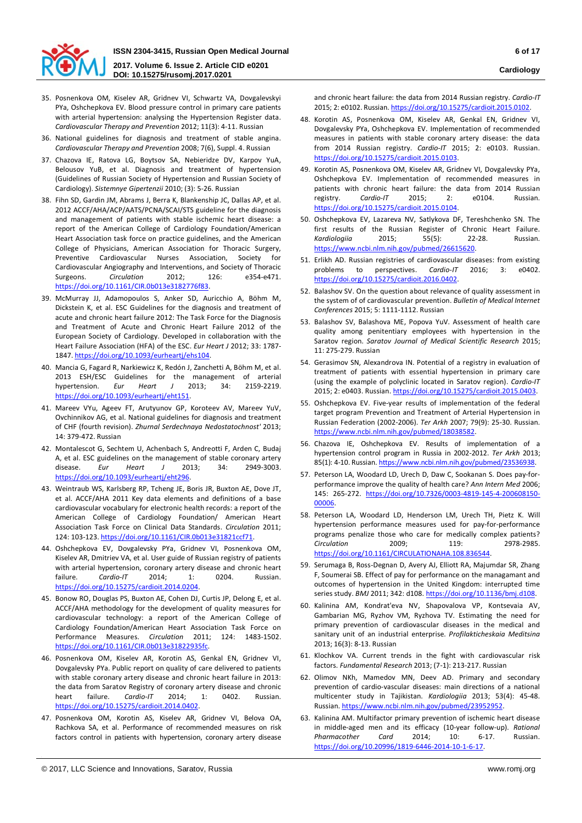

- 35. Posnenkova OM, Kiselev AR, Gridnev VI, Schwartz VA, Dovgalevskyi PYa, Oshchepkova EV. Blood pressure control in primary care patients with arterial hypertension: analysing the Hypertension Register data. *Cardiovascular Therapy and Prevention* 2012; 11(3): 4-11. Russian
- 36. National guidelines for diagnosis and treatment of stable angina. *Cardiovascular Therapy and Prevention* 2008; 7(6), Suppl. 4. Russian
- 37. Chazova IE, Ratova LG, Boytsov SA, Nebieridze DV, Karpov YuA, Belousov YuB, et al. Diagnosis and treatment of hypertension (Guidelines of Russian Society of Hypertension and Russian Society of Cardiology). *Sistemnye Gipertenzii* 2010; (3): 5-26. Russian
- 38. Fihn SD, Gardin JM, Abrams J, Berra K, Blankenship JC, Dallas AP, et al. 2012 ACCF/AHA/ACP/AATS/PCNA/SCAI/STS guideline for the diagnosis and management of patients with stable ischemic heart disease: a report of the American College of Cardiology Foundation/American Heart Association task force on practice guidelines, and the American College of Physicians, American Association for Thoracic Surgery, Preventive Cardiovascular Nurses Association, Society for Cardiovascular Angiography and Interventions, and Society of Thoracic Surgeons. *Circulation* 2012; 126: e354-e471. <https://doi.org/10.1161/CIR.0b013e3182776f83>.
- 39. McMurray JJ, Adamopoulos S, Anker SD, Auricchio A, Böhm M, Dickstein K, et al. ESC Guidelines for the diagnosis and treatment of acute and chronic heart failure 2012: The Task Force for the Diagnosis and Treatment of Acute and Chronic Heart Failure 2012 of the European Society of Cardiology. Developed in collaboration with the Heart Failure Association (HFA) of the ESC. *Eur Heart J* 2012; 33: 1787- 1847. <https://doi.org/10.1093/eurheartj/ehs104>.
- 40. Mancia G, Fagard R, Narkiewicz K, Redón J, Zanchetti A, Böhm M, et al. 2013 ESH/ESC Guidelines for the management of arterial hypertension. *Eur Heart J* 2013; 34: 2159-2219. <https://doi.org/10.1093/eurheartj/eht151>.
- 41. Mareev VYu, Ageev FT, Arutyunov GP, Koroteev AV, Mareev YuV, Ovchinnikov AG, et al. National guidelines for diagnosis and treatment of CHF (fourth revision). *Zhurnal Serdechnaya Nedostatochnost'* 2013; 14: 379-472. Russian
- 42. Montalescot G, Sechtem U, Achenbach S, Andreotti F, Arden C, Budaj A, et al. ESC guidelines on the management of stable coronary artery disease. *Eur Heart J* 2013; 34: 2949-3003. <https://doi.org/10.1093/eurheartj/eht296>.
- 43. Weintraub WS, Karlsberg RP, Tcheng JE, Boris JR, Buxton AE, Dove JT, et al. ACCF/AHA 2011 Key data elements and definitions of a base cardiovascular vocabulary for electronic health records: a report of the American College of Cardiology Foundation/ American Heart Association Task Force on Clinical Data Standards. *Circulation* 2011; 124: 103-123. <https://doi.org/10.1161/CIR.0b013e31821ccf71>.
- 44. Oshchepkova EV, Dovgalevsky PYa, Gridnev VI, Posnenkova OM, Kiselev AR, Dmitriev VA, et al. User guide of Russian registry of patients with arterial hypertension, coronary artery disease and chronic heart failure. *Cardio-IT* 2014; 1: 0204. Russian. <https://doi.org/10.15275/cardioit.2014.0204>.
- 45. Bonow RO, Douglas PS, Buxton AE, Cohen DJ, Curtis JP, Delong E, et al. ACCF/AHA methodology for the development of quality measures for cardiovascular technology: a report of the American College of Cardiology Foundation/American Heart Association Task Force on Performance Measures. *Circulation* 2011; 124: 1483-1502. <https://doi.org/10.1161/CIR.0b013e31822935fc>.
- 46. Posnenkova OM, Kiselev AR, Korotin AS, Genkal EN, Gridnev VI, Dovgalevsky PYa. Public report on quality of care delivered to patients with stable coronary artery disease and chronic heart failure in 2013: the data from Saratov Registry of coronary artery disease and chronic heart failure. *Cardio-IT* 2014; 1: 0402. Russian. https://doi.or[g/10.15275/cardioit.2014.0402.](https://doi.org/10.15275/cardioit.2014.0402)
- 47. Posnenkova OM, Korotin AS, Kiselev AR, Gridnev VI, Belova OA, Rachkova SA, et al. Performance of recommended measures on risk factors control in patients with hypertension, coronary artery disease

and chronic heart failure: the data from 2014 Russian registry. *Cardio-IT* 2015; 2: e0102. Russian. <https://doi.org/10.15275/cardioit.2015.0102>.

- 48. Korotin AS, Posnenkova OM, Kiselev AR, Genkal EN, Gridnev VI, Dovgalevsky PYa, Oshchepkova EV. Implementation of recommended measures in patients with stable coronary artery disease: the data from 2014 Russian registry. *Cardio-IT* 2015; 2: e0103. Russian. https://doi.org/10.[15275/cardioit.2015.0103.](https://doi.org/10.15275/cardioit.2015.0103)
- 49. Korotin AS, Posnenkova OM, Kiselev AR, Gridnev VI, Dovgalevsky PYa, Oshchepkova EV. Implementation of recommended measures in patients with chronic heart failure: the data from 2014 Russian<br>registry. Cardio-IT 2015; 2: e0104. Russian. registry. *Cardio-IT* 2015; 2: e0104. Russian. <https://doi.org/10.15275/cardioit.2015.0104>.
- 50. Oshchepkova EV, Lazareva NV, Satlykova DF, Tereshchenko SN. The first results of the Russian Register of Chronic Heart Failure. *Kardiologiia* 2015; 55(5): 22-28. Russian. <https://www.ncbi.nlm.nih.gov/pubmed/26615620>.
- 51. Erlikh AD. Russian registries of cardiovascular diseases: from existing problems to perspectives. *Cardio-IT* 2016; 3: e0402. <https://doi.org/10.15275/cardioit.2016.0402>.
- 52. Balashov SV. On the question about relevance of quality assessment in the system of of cardiovascular prevention. *Bulletin of Medical Internet Conferences* 2015; 5: 1111-1112. Russian
- 53. Balashov SV, Balashova ME, Popova YuV. Assessment of health care quality among penitentiary employees with hypertension in the Saratov region. *Saratov Journal of Medical Scientific Research* 2015; 11: 275-279. Russian
- 54. Gerasimov SN, Alexandrova IN. Potential of a registry in evaluation of treatment of patients with essential hypertension in primary care (using the example of polyclinic located in Saratov region). *Cardio-IT* 2015; 2: e0403. Russian. <https://doi.org/10.15275/cardioit.2015.0403>.
- 55. Oshchepkova EV. Five-year results of implementation of the federal target program Prevention and Treatment of Arterial Hypertension in Russian Federation (2002-2006). *Ter Arkh* 2007; 79(9): 25-30. Russian. <https://www.ncbi.nlm.nih.gov/pubmed/18038582>.
- 56. Chazova IE, Oshchepkova EV. Results of implementation of a hypertension control program in Russia in 2002-2012. *Ter Arkh* 2013; 85(1): 4-10. Russian. <https://www.ncbi.nlm.nih.gov/pubmed/23536938>.
- 57. Peterson LA, Woodard LD, Urech D, Daw C, Sookanan S. Does pay-forperformance improve the quality of health care? *Ann Intern Med* 2006; 145: 265-272. [https://doi.org/10.7326/0003](https://doi.org/10.7326/0003-4819-145-4-200608150-00006)-4819-145-4-200608150- [00006.](https://doi.org/10.7326/0003-4819-145-4-200608150-00006)
- 58. Peterson LA, Woodard LD, Henderson LM, Urech TH, Pietz K. Will hypertension performance measures used for pay-for-performance programs penalize those who care for medically complex patients? *Circulation* 2009; 119: 2978-2985. <https://doi.org/10.1161/CIRCULATIONAHA.108.836544>.
- 59. Serumaga B, Ross-Degnan D, Avery AJ, Elliott RA, Majumdar SR, Zhang F, Soumerai SB. Effect of pay for performance on the managamant and outcomes of hypertension in the United Kingdom: interrupted time series study. *BMJ* 2011; 342: d108. <https://doi.org/10.1136/bmj.d108>.
- 60. Kalinina AM, Kondrat'eva NV, Shapovalova VP, Kontsevaia AV, Gambarian MG, Ryzhov VM, Ryzhova TV. Estimating the need for primary prevention of cardiovascular diseases in the medical and sanitary unit of an industrial enterprise. *Profilakticheskaia Meditsina*  2013; 16(3): 8-13. Russian
- 61. Klochkov VA. Current trends in the fight with cardiovascular risk factors. *Fundamental Research* 2013; (7-1): 213-217. Russian
- 62. Olimov NKh, Mamedov MN, Deev AD. Primary and secondary prevention of cardio-vascular diseases: main directions of a national multicenter study in Tajikistan. *Kardiologiia* 2013; 53(4): 45-48. Russian. [https://www.ncbi.nlm.nih.gov/pubmed/23952](https://www.ncbi.nlm.nih.gov/pubmed/23952952)952.
- 63. Kalinina AM. Multifactor primary prevention of ischemic heart disease in middle-aged men and its efficacy (10-year follow-up). *Rational Pharmacother Card* 2014; 10: 6-17. Russian. https[://doi.org/10.20996/1819](https://doi.org/10.20996/1819-6446-2014-10-1-6-17)-6446-2014-10-1-6-17.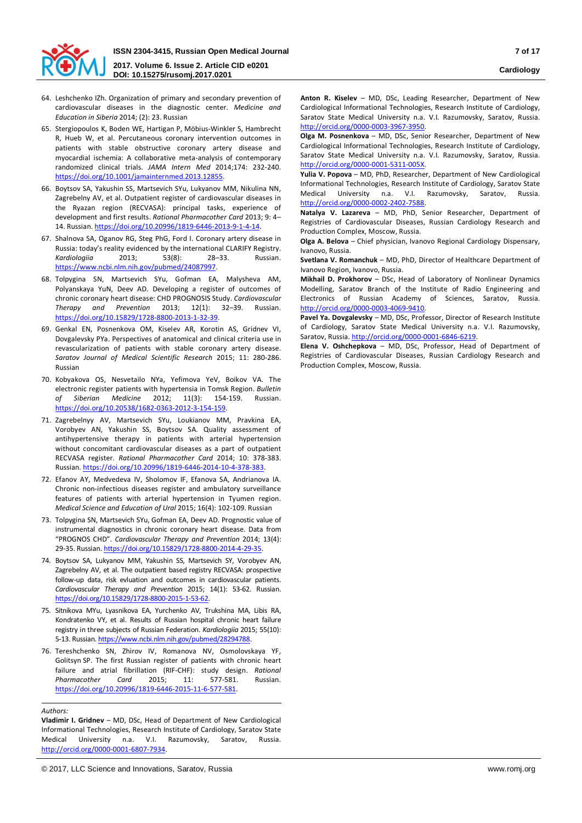

- 64. Leshchenko IZh. Organization of primary and secondary prevention of cardiovascular diseases in the diagnostic center. *Medicine and Education in Siberia* 2014; (2): 23. Russian
- 65. Stergiopoulos K, Boden WE, Hartigan P, Möbius-Winkler S, Hambrecht R, Hueb W, et al. Percutaneous coronary intervention outcomes in patients with stable obstructive coronary artery disease and myocardial ischemia: A collaborative meta-analysis of contemporary randomized clinical trials. *JAMA Intern Med* 2014;174: 232-240. <https://doi.org/10.1001/jamainternmed.2013.12855>.
- 66. Boytsov SA, Yakushin SS, Martsevich SYu, Lukyanov MM, Nikulina NN, Zagrebelny AV, et al. Outpatient register of cardiovascular diseases in the Ryazan region (RECVASA): principal tasks, experience of development and first results. *Rational Pharmacother Card* 2013; 9: 4– 14. Russian. https://doi.org/1[0.20996/1819-6446-2013-9-1-4-14.](https://doi.org/10.20996/1819-6446-2013-9-1-4-14)
- 67. Shalnova SA, Oganov RG, Steg PhG, Ford I. Coronary artery disease in Russia: today's reality evidenced by the international CLARIFY Registry. *Kardiologiia* 2013; 53(8): 28–33. Russian. <https://www.ncbi.nlm.nih.gov/pubmed/24087997>.
- 68. Tolpygina SN, Martsevich SYu, Gofman EA, Malysheva AM, Polyanskaya YuN, Deev AD. Developing a register of outcomes of chronic coronary heart disease: CHD PROGNOSIS Study. *Cardiovascular Therapy and Prevention* 2013; 12(1): 32–39. Russian. [https://doi.org/10.15829/1728](https://doi.org/10.15829/1728-8800-2013-1-32-39)-8800-2013-1-32-39.
- 69. Genkal EN, Posnenkova OM, Kiselev AR, Korotin AS, Gridnev VI, Dovgalevsky PYa. Perspectives of anatomical and clinical criteria use in revascularization of patients with stable coronary artery disease. *Saratov Journal of Medical Scientific Research* 2015; 11: 280-286. Russian
- 70. Kobyakova OS, Nesvetailo NYa, Yefimova YeV, Boikov VA. The electronic register patients with hypertensia in Tomsk Region. *Bulletin of Siberian Medicine* 2012; 11(3): 154-159. Russian. [https://doi.org/10.20538/1682](https://doi.org/10.20538/1682-0363-2012-3-154-159)-0363-2012-3-154-159.
- 71. Zagrebelnyy AV, Martsevich SYu, Loukianov MM, Pravkina EA, Vorobyev AN, Yakushin SS, Boytsov SA. Quality assessment of antihypertensive therapy in patients with arterial hypertension without concomitant cardiovascular diseases as a part of outpatient RECVASA register. *Rational Pharmacother Card* 2014; 10: 378-383. Russian. [https://doi.org/10.20996/1819](https://doi.org/10.20996/1819-6446-2014-10-4-378-383)-6446-2014-10-4-378-383.
- 72. Efanov AY, Medvedeva IV, Sholomov IF, Efanova SA, Andrianova IA. Chronic non-infectious diseases register and ambulatory surveillance features of patients with arterial hypertension in Tyumen region. *Medical Science and Education of Ural* 2015; 16(4): 102-109. Russian
- 73. Tolpygina SN, Martsevich SYu, Gofman EA, Deev AD. Prognostic value of instrumental diagnostics in chronic coronary heart disease. Data from "PROGNOS CHD". *Cardiovascular Therapy and Prevention* 2014; 13(4): 29-35. Russian. [https://doi.org/10.15829/1728](https://doi.org/10.15829/1728-8800-2014-4-29-35)-8800-2014-4-29-35.
- 74. Boytsov SA, Lukyanov MM, Yakushin SS, Martsevich SY, Vorobyev AN, Zagrebelny AV, et al. The outpatient based registry RECVASA: prospective follow-up data, risk evluation and outcomes in cardiovascular patients. *Cardiovascular Therapy and Prevention* 2015; 14(1): 53-62. Russian. [https://doi.org/10.15829/1728](https://doi.org/10.15829/1728-8800-2015-1-53-62)-8800-2015-1-53-62.
- 75. Sitnikova MYu, Lyasnikova EA, Yurchenko AV, Trukshina MA, Libis RA, Kondratenko VY, et al. Results of Russian hospital chronic heart failure registry in three subjects of Russian Federation. *Kardiologiia* 2015; 55(10): 5-13. Russian. <https://www.ncbi.nlm.nih.gov/pubmed/28294788>.
- 76. Tereshchenko SN, Zhirov IV, Romanova NV, Osmolovskaya YF, Golitsyn SP. The first Russian register of patients with chronic heart failure and atrial fibrillation (RIF-CHF): study design. *Rational Pharmacother Card* 2015; 11: 577-581. Russian. [https://doi.org/10.20996/1819](https://doi.org/10.20996/1819-6446-2015-11-6-577-581)-6446-2015-11-6-577-581.

**Vladimir I. Gridnev** – MD, DSc, Head of Department of New Cardiological Informational Technologies, Research Institute of Cardiology, Saratov State Medical University n.a. V.I. Razumovsky, Saratov, Russia. [http://orcid.org/0000](http://orcid.org/0000-0001-6807-7934)-0001-6807-7934.

**Anton R. Kiselev** – MD, DSc, Leading Researcher, Department of New Cardiological Informational Technologies, Research Institute of Cardiology, Saratov State Medical University n.a. V.I. Razumovsky, Saratov, Russia. [http://orcid.org/0000](http://orcid.org/0000-0003-3967-3950)-0003-3967-3950.

**Olga M. Posnenkova** – MD, DSc, Senior Researcher, Department of New Cardiological Informational Technologies, Research Institute of Cardiology, Saratov State Medical University n.a. V.I. Razumovsky, Saratov, Russia. [http://orcid.org/0000](http://orcid.org/0000-0001-5311-005X)-0001-5311-005X.

**Yulia V. Popova** – MD, PhD, Researcher, Department of New Cardiological Informational Technologies, Research Institute of Cardiology, Saratov State Medical University n.a. V.I. Razumovsky, Saratov, Russia. [http://orcid.org/0000](http://orcid.org/0000-0002-2402-7588)-0002-2402-7588.

**Natalya V. Lazareva** – MD, PhD, Senior Researcher, Department of Registries of Cardiovascular Diseases, Russian Cardiology Research and Production Complex, Moscow, Russia.

**Olga A. Belova** – Chief physician, Ivanovo Regional Cardiology Dispensary, Ivanovo, Russia.

**Svetlana V. Romanchuk** – MD, PhD, Director of Healthcare Department of Ivanovo Region, Ivanovo, Russia.

**Mikhail D. Prokhorov** – DSc, Head of Laboratory of Nonlinear Dynamics Modelling, Saratov Branch of the Institute of Radio Engineering and Electronics of Russian Academy of Sciences, Saratov, Russia. [http://orcid.org/0000](http://orcid.org/0000-0003-4069-9410)-0003-4069-9410.

**Pavel Ya. Dovgalevsky** – MD, DSc, Professor, Director of Research Institute of Cardiology, Saratov State Medical University n.a. V.I. Razumovsky, Saratov, Russia. [http://orcid.org/0000](http://orcid.org/0000-0001-6846-6219)-0001-6846-6219.

**Elena V. Oshchepkova** – MD, DSc, Professor, Head of Department of Registries of Cardiovascular Diseases, Russian Cardiology Research and Production Complex, Moscow, Russia.

*Authors:*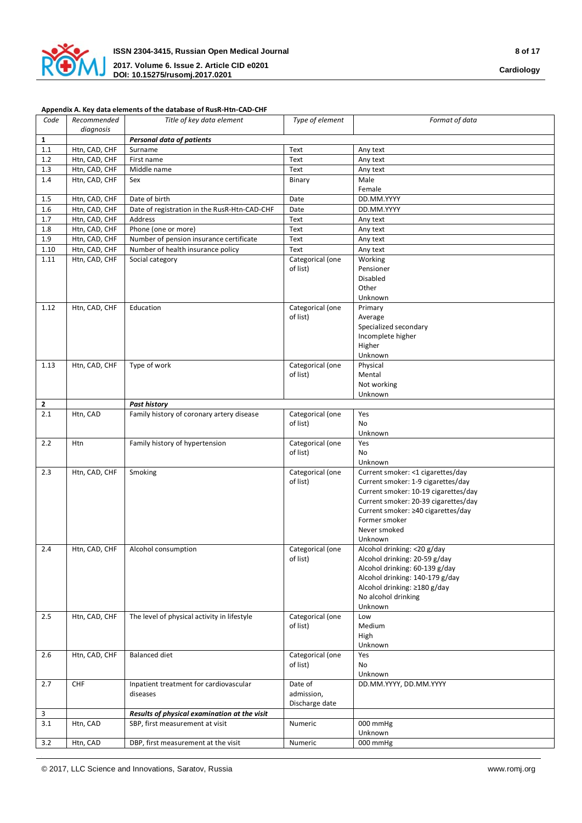

## **Appendix A. Key data elements of the database of RusR-Htn-CAD-CHF**

| Code                    | Recommended   | Title of key data element                    | Type of element  | Format of data                       |
|-------------------------|---------------|----------------------------------------------|------------------|--------------------------------------|
|                         | diagnosis     |                                              |                  |                                      |
| $\mathbf{1}$            |               | <b>Personal data of patients</b>             |                  |                                      |
| 1.1                     | Htn, CAD, CHF | Surname                                      | Text             | Any text                             |
| 1.2                     | Htn, CAD, CHF | First name                                   | Text             | Any text                             |
| 1.3                     | Htn, CAD, CHF | Middle name                                  | Text             | Any text                             |
| 1.4                     | Htn, CAD, CHF | Sex                                          | Binary           | Male                                 |
|                         |               |                                              |                  | Female                               |
| $1.5\,$                 | Htn, CAD, CHF | Date of birth                                | Date             | DD.MM.YYYY                           |
| 1.6                     | Htn, CAD, CHF | Date of registration in the RusR-Htn-CAD-CHF | Date             | DD.MM.YYYY                           |
| 1.7                     | Htn, CAD, CHF | Address                                      | Text             | Any text                             |
| 1.8                     | Htn, CAD, CHF | Phone (one or more)                          | Text             | Any text                             |
| 1.9                     | Htn, CAD, CHF | Number of pension insurance certificate      | Text             | Any text                             |
| 1.10                    | Htn, CAD, CHF | Number of health insurance policy            | Text             | Any text                             |
| 1.11                    | Htn, CAD, CHF | Social category                              | Categorical (one | Working                              |
|                         |               |                                              | of list)         | Pensioner                            |
|                         |               |                                              |                  | Disabled                             |
|                         |               |                                              |                  | Other                                |
|                         |               |                                              |                  | Unknown                              |
| 1.12                    | Htn, CAD, CHF | Education                                    | Categorical (one | Primary                              |
|                         |               |                                              | of list)         | Average                              |
|                         |               |                                              |                  | Specialized secondary                |
|                         |               |                                              |                  | Incomplete higher                    |
|                         |               |                                              |                  | Higher                               |
|                         |               |                                              |                  | Unknown                              |
|                         |               |                                              | Categorical (one |                                      |
| 1.13                    | Htn, CAD, CHF | Type of work                                 | of list)         | Physical<br>Mental                   |
|                         |               |                                              |                  |                                      |
|                         |               |                                              |                  | Not working                          |
|                         |               |                                              |                  | Unknown                              |
| $\overline{\mathbf{2}}$ |               | <b>Past history</b>                          |                  |                                      |
| 2.1                     | Htn, CAD      | Family history of coronary artery disease    | Categorical (one | Yes                                  |
|                         |               |                                              | of list)         | No                                   |
|                         |               |                                              |                  | Unknown                              |
| 2.2                     | Htn           | Family history of hypertension               | Categorical (one | Yes                                  |
|                         |               |                                              | of list)         | No                                   |
|                         |               |                                              |                  | Unknown                              |
| 2.3                     | Htn, CAD, CHF | Smoking                                      | Categorical (one | Current smoker: <1 cigarettes/day    |
|                         |               |                                              | of list)         | Current smoker: 1-9 cigarettes/day   |
|                         |               |                                              |                  | Current smoker: 10-19 cigarettes/day |
|                         |               |                                              |                  | Current smoker: 20-39 cigarettes/day |
|                         |               |                                              |                  | Current smoker: ≥40 cigarettes/day   |
|                         |               |                                              |                  | Former smoker                        |
|                         |               |                                              |                  | Never smoked                         |
|                         |               |                                              |                  | Unknown                              |
| 2.4                     | Htn, CAD, CHF | Alcohol consumption                          | Categorical (one | Alcohol drinking: <20 g/day          |
|                         |               |                                              | of list)         | Alcohol drinking: 20-59 g/day        |
|                         |               |                                              |                  | Alcohol drinking: 60-139 g/day       |
|                         |               |                                              |                  | Alcohol drinking: 140-179 g/day      |
|                         |               |                                              |                  | Alcohol drinking: ≥180 g/day         |
|                         |               |                                              |                  | No alcohol drinking                  |
|                         |               |                                              |                  | Unknown                              |
| 2.5                     | Htn, CAD, CHF | The level of physical activity in lifestyle  | Categorical (one | Low                                  |
|                         |               |                                              | of list)         | Medium                               |
|                         |               |                                              |                  | High                                 |
|                         |               |                                              |                  | Unknown                              |
| 2.6                     | Htn, CAD, CHF | <b>Balanced diet</b>                         | Categorical (one | Yes                                  |
|                         |               |                                              | of list)         | No                                   |
|                         |               |                                              |                  | Unknown                              |
| 2.7                     | <b>CHF</b>    | Inpatient treatment for cardiovascular       | Date of          | DD.MM.YYYY, DD.MM.YYYY               |
|                         |               | diseases                                     | admission,       |                                      |
|                         |               |                                              | Discharge date   |                                      |
| $\overline{\mathbf{3}}$ |               | Results of physical examination at the visit |                  |                                      |
| 3.1                     | Htn, CAD      | SBP, first measurement at visit              | Numeric          | 000 mmHg                             |
|                         |               |                                              |                  | Unknown                              |
| 3.2                     | Htn, CAD      | DBP, first measurement at the visit          | Numeric          | 000 mmHg                             |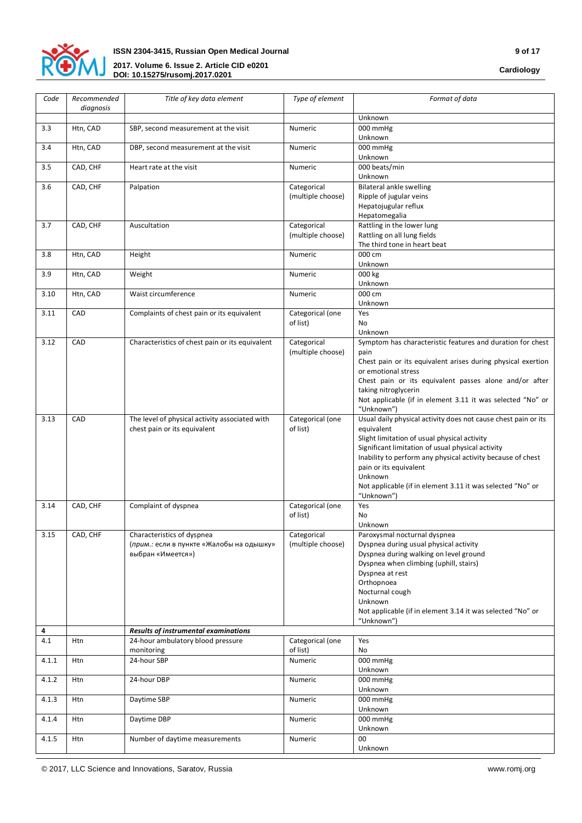

| Code  | Recommended<br>diagnosis | Title of key data element                       | Type of element              | Format of data                                                                                                   |
|-------|--------------------------|-------------------------------------------------|------------------------------|------------------------------------------------------------------------------------------------------------------|
|       |                          |                                                 |                              | Unknown                                                                                                          |
| 3.3   | Htn, CAD                 | SBP, second measurement at the visit            | Numeric                      | 000 mmHg<br>Unknown                                                                                              |
| 3.4   | Htn, CAD                 | DBP, second measurement at the visit            | Numeric                      | 000 mmHg<br>Unknown                                                                                              |
| 3.5   | CAD, CHF                 | Heart rate at the visit                         | Numeric                      | 000 beats/min<br>Unknown                                                                                         |
| 3.6   | CAD, CHF                 | Palpation                                       | Categorical                  | Bilateral ankle swelling                                                                                         |
|       |                          |                                                 | (multiple choose)            | Ripple of jugular veins                                                                                          |
|       |                          |                                                 |                              | Hepatojugular reflux                                                                                             |
|       |                          |                                                 |                              | Hepatomegalia                                                                                                    |
| 3.7   | CAD, CHF                 | Auscultation                                    | Categorical                  | Rattling in the lower lung                                                                                       |
|       |                          |                                                 | (multiple choose)            | Rattling on all lung fields<br>The third tone in heart beat                                                      |
| 3.8   | Htn, CAD                 | Height                                          | Numeric                      | 000 cm                                                                                                           |
|       |                          |                                                 |                              | Unknown                                                                                                          |
| 3.9   | Htn, CAD                 | Weight                                          | Numeric                      | 000 kg                                                                                                           |
|       |                          |                                                 |                              | Unknown                                                                                                          |
| 3.10  | Htn, CAD                 | Waist circumference                             | Numeric                      | 000 cm                                                                                                           |
| 3.11  | CAD                      | Complaints of chest pain or its equivalent      | Categorical (one             | Unknown<br>Yes                                                                                                   |
|       |                          |                                                 | of list)                     | N <sub>o</sub>                                                                                                   |
|       |                          |                                                 |                              | Unknown                                                                                                          |
| 3.12  | CAD                      | Characteristics of chest pain or its equivalent | Categorical                  | Symptom has characteristic features and duration for chest                                                       |
|       |                          |                                                 | (multiple choose)            | pain                                                                                                             |
|       |                          |                                                 |                              | Chest pain or its equivalent arises during physical exertion                                                     |
|       |                          |                                                 |                              | or emotional stress                                                                                              |
|       |                          |                                                 |                              | Chest pain or its equivalent passes alone and/or after<br>taking nitroglycerin                                   |
|       |                          |                                                 |                              | Not applicable (if in element 3.11 it was selected "No" or                                                       |
|       |                          |                                                 |                              | "Unknown")                                                                                                       |
| 3.13  | CAD                      | The level of physical activity associated with  | Categorical (one             | Usual daily physical activity does not cause chest pain or its                                                   |
|       |                          | chest pain or its equivalent                    | of list)                     | equivalent                                                                                                       |
|       |                          |                                                 |                              | Slight limitation of usual physical activity                                                                     |
|       |                          |                                                 |                              | Significant limitation of usual physical activity<br>Inability to perform any physical activity because of chest |
|       |                          |                                                 |                              | pain or its equivalent                                                                                           |
|       |                          |                                                 |                              | Unknown                                                                                                          |
|       |                          |                                                 |                              | Not applicable (if in element 3.11 it was selected "No" or                                                       |
|       |                          |                                                 |                              | "Unknown")                                                                                                       |
| 3.14  | CAD, CHF                 | Complaint of dyspnea                            | Categorical (one<br>of list) | Yes<br>No                                                                                                        |
|       |                          |                                                 |                              | Unknown                                                                                                          |
| 3.15  | CAD, CHF                 | Characteristics of dyspnea                      | Categorical                  | Paroxysmal nocturnal dyspnea                                                                                     |
|       |                          | (прим.: если в пункте «Жалобы на одышку»        | (multiple choose)            | Dyspnea during usual physical activity                                                                           |
|       |                          | выбран «Имеется»)                               |                              | Dyspnea during walking on level ground                                                                           |
|       |                          |                                                 |                              | Dyspnea when climbing (uphill, stairs)                                                                           |
|       |                          |                                                 |                              | Dyspnea at rest<br>Orthopnoea                                                                                    |
|       |                          |                                                 |                              | Nocturnal cough                                                                                                  |
|       |                          |                                                 |                              | Unknown                                                                                                          |
|       |                          |                                                 |                              | Not applicable (if in element 3.14 it was selected "No" or                                                       |
|       |                          |                                                 |                              | "Unknown")                                                                                                       |
| 4     |                          | Results of instrumental examinations            |                              |                                                                                                                  |
| 4.1   | Htn                      | 24-hour ambulatory blood pressure<br>monitoring | Categorical (one<br>of list) | Yes<br>No                                                                                                        |
| 4.1.1 | Htn                      | 24-hour SBP                                     | Numeric                      | 000 mmHg                                                                                                         |
|       |                          |                                                 |                              | Unknown                                                                                                          |
| 4.1.2 | Htn                      | 24-hour DBP                                     | Numeric                      | 000 mmHg                                                                                                         |
|       |                          |                                                 |                              | Unknown                                                                                                          |
| 4.1.3 | Htn                      | Daytime SBP                                     | Numeric                      | 000 mmHg                                                                                                         |
| 4.1.4 | Htn                      | Daytime DBP                                     | Numeric                      | Unknown<br>000 mmHg                                                                                              |
|       |                          |                                                 |                              | Unknown                                                                                                          |
| 4.1.5 | Htn                      | Number of daytime measurements                  | Numeric                      | 00                                                                                                               |
|       |                          |                                                 |                              | Unknown                                                                                                          |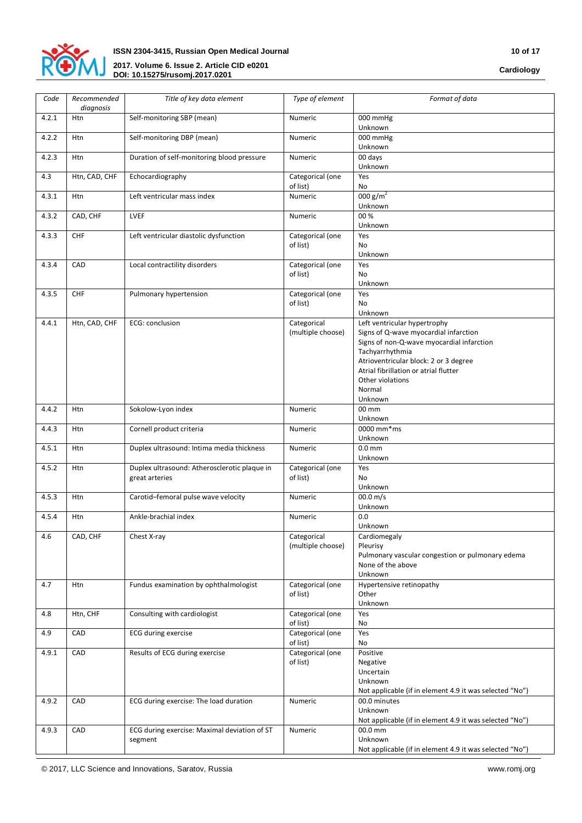

| Code  | Recommended<br>diagnosis | Title of key data element                                      | Type of element                  | Format of data                                                                                                                                                                                                                                                   |
|-------|--------------------------|----------------------------------------------------------------|----------------------------------|------------------------------------------------------------------------------------------------------------------------------------------------------------------------------------------------------------------------------------------------------------------|
| 4.2.1 | Htn                      | Self-monitoring SBP (mean)                                     | Numeric                          | 000 mmHg<br>Unknown                                                                                                                                                                                                                                              |
| 4.2.2 | Htn                      | Self-monitoring DBP (mean)                                     | Numeric                          | 000 mmHg<br>Unknown                                                                                                                                                                                                                                              |
| 4.2.3 | Htn                      | Duration of self-monitoring blood pressure                     | Numeric                          | 00 days<br>Unknown                                                                                                                                                                                                                                               |
| 4.3   | Htn, CAD, CHF            | Echocardiography                                               | Categorical (one<br>of list)     | Yes<br>No                                                                                                                                                                                                                                                        |
| 4.3.1 | Htn                      | Left ventricular mass index                                    | Numeric                          | 000 g/m <sup>2</sup><br>Unknown                                                                                                                                                                                                                                  |
| 4.3.2 | CAD, CHF                 | <b>LVEF</b>                                                    | Numeric                          | 00%<br>Unknown                                                                                                                                                                                                                                                   |
| 4.3.3 | <b>CHF</b>               | Left ventricular diastolic dysfunction                         | Categorical (one<br>of list)     | Yes<br>N <sub>o</sub><br>Unknown                                                                                                                                                                                                                                 |
| 4.3.4 | CAD                      | Local contractility disorders                                  | Categorical (one<br>of list)     | Yes<br>No<br>Unknown                                                                                                                                                                                                                                             |
| 4.3.5 | <b>CHF</b>               | Pulmonary hypertension                                         | Categorical (one<br>of list)     | Yes<br>No<br>Unknown                                                                                                                                                                                                                                             |
| 4.4.1 | Htn, CAD, CHF            | ECG: conclusion                                                | Categorical<br>(multiple choose) | Left ventricular hypertrophy<br>Signs of Q-wave myocardial infarction<br>Signs of non-Q-wave myocardial infarction<br>Tachyarrhythmia<br>Atrioventricular block: 2 or 3 degree<br>Atrial fibrillation or atrial flutter<br>Other violations<br>Normal<br>Unknown |
| 4.4.2 | Htn                      | Sokolow-Lyon index                                             | Numeric                          | 00 mm<br>Unknown                                                                                                                                                                                                                                                 |
| 4.4.3 | Htn                      | Cornell product criteria                                       | Numeric                          | 0000 mm*ms<br>Unknown                                                                                                                                                                                                                                            |
| 4.5.1 | Htn                      | Duplex ultrasound: Intima media thickness                      | Numeric                          | 0.0 <sub>mm</sub><br>Unknown                                                                                                                                                                                                                                     |
| 4.5.2 | Htn                      | Duplex ultrasound: Atherosclerotic plaque in<br>great arteries | Categorical (one<br>of list)     | Yes<br>No<br>Unknown                                                                                                                                                                                                                                             |
| 4.5.3 | Htn                      | Carotid-femoral pulse wave velocity                            | Numeric                          | 00.0 m/s<br>Unknown                                                                                                                                                                                                                                              |
| 4.5.4 | Htn                      | Ankle-brachial index                                           | Numeric                          | 0.0<br>Unknown                                                                                                                                                                                                                                                   |
| 4.6   | CAD, CHF                 | Chest X-ray                                                    | Categorical<br>(multiple choose) | Cardiomegaly<br>Pleurisy<br>Pulmonary vascular congestion or pulmonary edema<br>None of the above<br>Unknown                                                                                                                                                     |
| 4.7   | Htn                      | Fundus examination by ophthalmologist                          | Categorical (one<br>of list)     | Hypertensive retinopathy<br>Other<br>Unknown                                                                                                                                                                                                                     |
| 4.8   | Htn, CHF                 | Consulting with cardiologist                                   | Categorical (one<br>of list)     | Yes<br>No                                                                                                                                                                                                                                                        |
| 4.9   | CAD                      | <b>ECG</b> during exercise                                     | Categorical (one<br>of list)     | Yes<br>No                                                                                                                                                                                                                                                        |
| 4.9.1 | CAD                      | Results of ECG during exercise                                 | Categorical (one<br>of list)     | Positive<br>Negative<br>Uncertain<br>Unknown<br>Not applicable (if in element 4.9 it was selected "No")                                                                                                                                                          |
| 4.9.2 | CAD                      | ECG during exercise: The load duration                         | Numeric                          | 00.0 minutes<br>Unknown<br>Not applicable (if in element 4.9 it was selected "No")                                                                                                                                                                               |
| 4.9.3 | CAD                      | ECG during exercise: Maximal deviation of ST<br>segment        | Numeric                          | 00.0 mm<br>Unknown<br>Not applicable (if in element 4.9 it was selected "No")                                                                                                                                                                                    |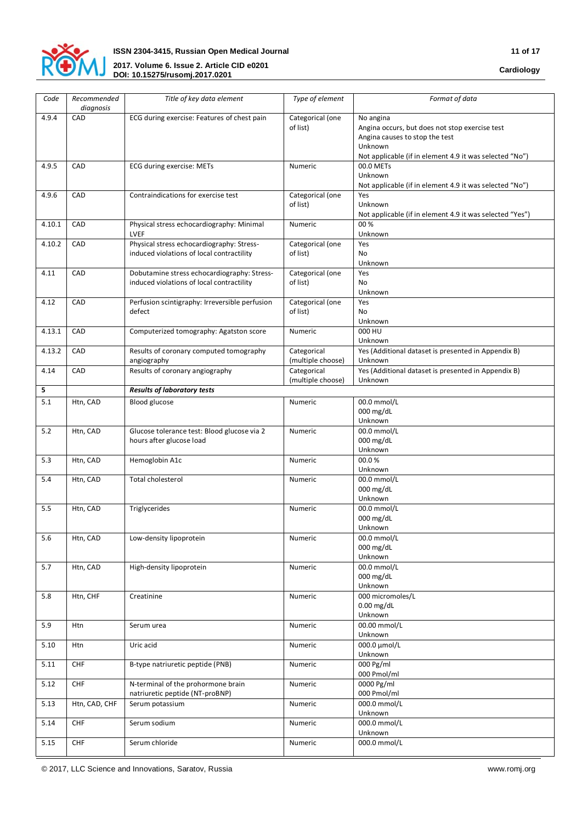

| Code   | Recommended<br>diagnosis | Title of key data element                                                                | Type of element                  | Format of data                                                                                                                                                      |
|--------|--------------------------|------------------------------------------------------------------------------------------|----------------------------------|---------------------------------------------------------------------------------------------------------------------------------------------------------------------|
| 4.9.4  | CAD                      | ECG during exercise: Features of chest pain                                              | Categorical (one<br>of list)     | No angina<br>Angina occurs, but does not stop exercise test<br>Angina causes to stop the test<br>Unknown<br>Not applicable (if in element 4.9 it was selected "No") |
| 4.9.5  | CAD                      | ECG during exercise: METs                                                                | Numeric                          | 00.0 METs<br>Unknown<br>Not applicable (if in element 4.9 it was selected "No")                                                                                     |
| 4.9.6  | CAD                      | Contraindications for exercise test                                                      | Categorical (one<br>of list)     | Yes<br>Unknown<br>Not applicable (if in element 4.9 it was selected "Yes")                                                                                          |
| 4.10.1 | CAD                      | Physical stress echocardiography: Minimal<br>LVEF                                        | Numeric                          | 00 %<br>Unknown                                                                                                                                                     |
| 4.10.2 | CAD                      | Physical stress echocardiography: Stress-<br>induced violations of local contractility   | Categorical (one<br>of list)     | Yes<br>No<br>Unknown                                                                                                                                                |
| 4.11   | CAD                      | Dobutamine stress echocardiography: Stress-<br>induced violations of local contractility | Categorical (one<br>of list)     | Yes<br>N <sub>o</sub><br>Unknown                                                                                                                                    |
| 4.12   | CAD                      | Perfusion scintigraphy: Irreversible perfusion<br>defect                                 | Categorical (one<br>of list)     | Yes<br>No<br>Unknown                                                                                                                                                |
| 4.13.1 | CAD                      | Computerized tomography: Agatston score                                                  | Numeric                          | 000 HU<br>Unknown                                                                                                                                                   |
| 4.13.2 | CAD                      | Results of coronary computed tomography<br>angiography                                   | Categorical<br>(multiple choose) | Yes (Additional dataset is presented in Appendix B)<br>Unknown                                                                                                      |
| 4.14   | CAD                      | Results of coronary angiography                                                          | Categorical<br>(multiple choose) | Yes (Additional dataset is presented in Appendix B)<br>Unknown                                                                                                      |
| 5      |                          | <b>Results of laboratory tests</b>                                                       |                                  |                                                                                                                                                                     |
| 5.1    | Htn, CAD                 | Blood glucose                                                                            | Numeric                          | 00.0 mmol/L<br>000 mg/dL<br>Unknown                                                                                                                                 |
| 5.2    | Htn, CAD                 | Glucose tolerance test: Blood glucose via 2<br>hours after glucose load                  | Numeric                          | 00.0 mmol/L<br>000 mg/dL<br>Unknown                                                                                                                                 |
| 5.3    | Htn, CAD                 | Hemoglobin A1c                                                                           | Numeric                          | 00.0%<br>Unknown                                                                                                                                                    |
| 5.4    | Htn, CAD                 | Total cholesterol                                                                        | Numeric                          | 00.0 mmol/L<br>000 mg/dL<br>Unknown                                                                                                                                 |
| 5.5    | Htn, CAD                 | Triglycerides                                                                            | Numeric                          | 00.0 mmol/L<br>$000 \,\mathrm{mg/dL}$<br>Unknown                                                                                                                    |
| 5.6    | Htn, CAD                 | Low-density lipoprotein                                                                  | Numeric                          | 00.0 mmol/L<br>000 mg/dL<br>Unknown                                                                                                                                 |
| 5.7    | Htn, CAD                 | High-density lipoprotein                                                                 | Numeric                          | 00.0 mmol/L<br>000 mg/dL<br>Unknown                                                                                                                                 |
| 5.8    | Htn, CHF                 | Creatinine                                                                               | Numeric                          | 000 micromoles/L<br>$0.00$ mg/dL<br>Unknown                                                                                                                         |
| 5.9    | Htn                      | Serum urea                                                                               | Numeric                          | 00.00 mmol/L<br>Unknown                                                                                                                                             |
| 5.10   | Htn                      | Uric acid                                                                                | Numeric                          | 000.0 µmol/L<br>Unknown                                                                                                                                             |
| 5.11   | CHF                      | B-type natriuretic peptide (PNB)                                                         | Numeric                          | 000 Pg/ml<br>000 Pmol/ml                                                                                                                                            |
| 5.12   | CHF                      | N-terminal of the prohormone brain<br>natriuretic peptide (NT-proBNP)                    | Numeric                          | 0000 Pg/ml<br>000 Pmol/ml                                                                                                                                           |
| 5.13   | Htn, CAD, CHF            | Serum potassium                                                                          | Numeric                          | 000.0 mmol/L<br>Unknown                                                                                                                                             |
| 5.14   | CHF                      | Serum sodium                                                                             | Numeric                          | 000.0 mmol/L<br>Unknown                                                                                                                                             |
| 5.15   | CHF                      | Serum chloride                                                                           | Numeric                          | 000.0 mmol/L                                                                                                                                                        |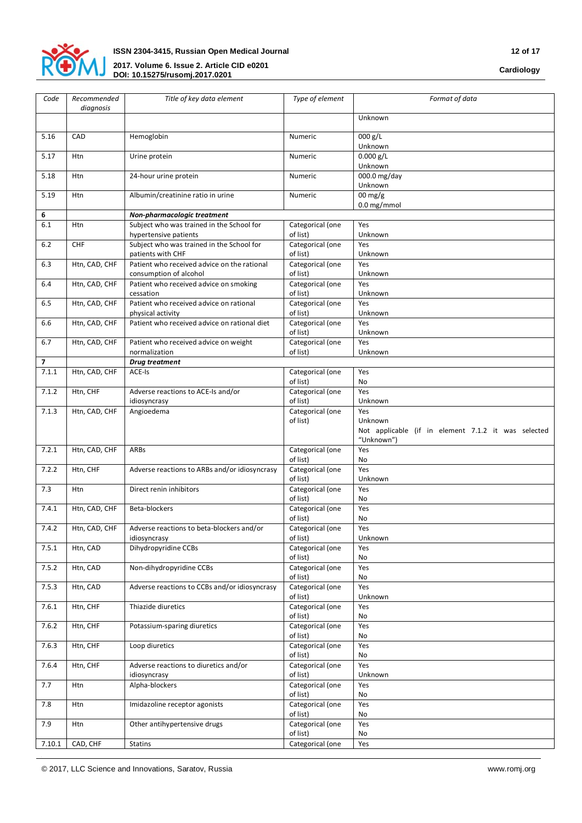

| Code           | Recommended<br>diagnosis | Title of key data element                                             | Type of element              | Format of data                                      |
|----------------|--------------------------|-----------------------------------------------------------------------|------------------------------|-----------------------------------------------------|
|                |                          |                                                                       |                              | Unknown                                             |
| 5.16           | CAD                      | Hemoglobin                                                            | Numeric                      | 000 g/L<br>Unknown                                  |
| 5.17           | Htn                      | Urine protein                                                         | Numeric                      | $0.000$ g/L<br>Unknown                              |
| 5.18           | Htn                      | 24-hour urine protein                                                 | Numeric                      | $\overline{000.0}$ mg/day<br>Unknown                |
| 5.19           | Htn                      | Albumin/creatinine ratio in urine                                     | Numeric                      | $00 \,\mathrm{mg/g}$                                |
| 6              |                          | Non-pharmacologic treatment                                           |                              | 0.0 mg/mmol                                         |
| 6.1            | Htn                      | Subject who was trained in the School for                             | Categorical (one             | Yes                                                 |
|                |                          | hypertensive patients                                                 | of list)                     | Unknown                                             |
| 6.2            | <b>CHF</b>               | Subject who was trained in the School for<br>patients with CHF        | Categorical (one<br>of list) | Yes<br>Unknown                                      |
| 6.3            | Htn, CAD, CHF            | Patient who received advice on the rational<br>consumption of alcohol | Categorical (one<br>of list) | Yes<br>Unknown                                      |
| 6.4            | Htn, CAD, CHF            | Patient who received advice on smoking<br>cessation                   | Categorical (one<br>of list) | Yes<br>Unknown                                      |
| 6.5            | Htn, CAD, CHF            | Patient who received advice on rational<br>physical activity          | Categorical (one<br>of list) | Yes<br>Unknown                                      |
| 6.6            | Htn, CAD, CHF            | Patient who received advice on rational diet                          | Categorical (one<br>of list) | Yes<br>Unknown                                      |
| 6.7            | Htn, CAD, CHF            | Patient who received advice on weight                                 | Categorical (one             | Yes                                                 |
| $\overline{7}$ |                          | normalization<br><b>Drug treatment</b>                                | of list)                     | Unknown                                             |
| 7.1.1          | Htn, CAD, CHF            | ACE-Is                                                                | Categorical (one             | Yes                                                 |
|                |                          |                                                                       | of list)                     | No                                                  |
| 7.1.2          | Htn, CHF                 | Adverse reactions to ACE-Is and/or                                    | Categorical (one             | Yes                                                 |
|                |                          | idiosyncrasy                                                          | of list)                     | Unknown                                             |
| 7.1.3          | Htn, CAD, CHF            | Angioedema                                                            | Categorical (one<br>of list) | Yes<br>Unknown                                      |
|                |                          |                                                                       |                              | Not applicable (if in element 7.1.2 it was selected |
|                |                          |                                                                       |                              | "Unknown")                                          |
| 7.2.1          | Htn, CAD, CHF            | ARBs                                                                  | Categorical (one<br>of list) | Yes<br>No                                           |
| 7.2.2          | Htn, CHF                 | Adverse reactions to ARBs and/or idiosyncrasy                         | Categorical (one             | Yes                                                 |
|                |                          |                                                                       | of list)                     | Unknown                                             |
| 7.3            | Htn                      | Direct renin inhibitors                                               | Categorical (one<br>of list) | Yes<br>No                                           |
| 7.4.1          | Htn, CAD, CHF            | Beta-blockers                                                         | Categorical (one<br>of list) | Yes<br>No                                           |
| 7.4.2          | Htn, CAD, CHF            | Adverse reactions to beta-blockers and/or                             | Categorical (one             | Yes                                                 |
| 7.5.1          | Htn, CAD                 | idiosyncrasy<br>Dihydropyridine CCBs                                  | of list)<br>Categorical (one | Unknown<br>Yes                                      |
|                |                          |                                                                       | of list)                     | No                                                  |
| 7.5.2          | Htn, CAD                 | Non-dihydropyridine CCBs                                              | Categorical (one<br>of list) | Yes<br>No                                           |
| 7.5.3          | Htn, CAD                 | Adverse reactions to CCBs and/or idiosyncrasy                         | Categorical (one<br>of list) | Yes<br>Unknown                                      |
| 7.6.1          | Htn, CHF                 | Thiazide diuretics                                                    | Categorical (one<br>of list) | Yes<br>No                                           |
| 7.6.2          | Htn, CHF                 | Potassium-sparing diuretics                                           | Categorical (one<br>of list) | Yes<br>No                                           |
| 7.6.3          | Htn, CHF                 | Loop diuretics                                                        | Categorical (one<br>of list) | Yes<br>No                                           |
| 7.6.4          | Htn, CHF                 | Adverse reactions to diuretics and/or                                 | Categorical (one             | Yes                                                 |
| 7.7            | Htn                      | idiosyncrasy<br>Alpha-blockers                                        | of list)<br>Categorical (one | Unknown<br>Yes                                      |
| 7.8            | Htn                      | Imidazoline receptor agonists                                         | of list)<br>Categorical (one | No<br>Yes                                           |
|                |                          |                                                                       | of list)                     | No<br>Yes                                           |
| 7.9            | Htn                      | Other antihypertensive drugs                                          | Categorical (one<br>of list) | No                                                  |
| 7.10.1         | CAD, CHF                 | Statins                                                               | Categorical (one             | Yes                                                 |

© 2017, LLC Science and Innovations, Saratov, Russia www.romj.org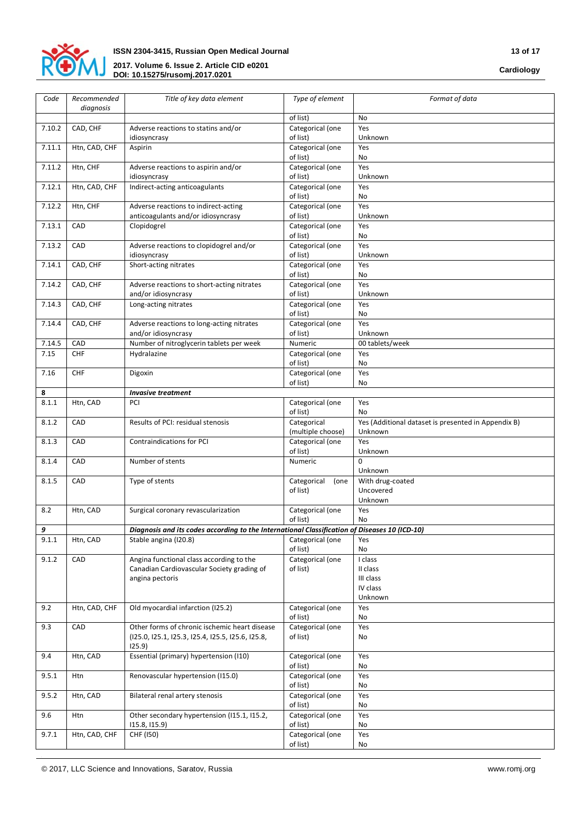

| Code   | Recommended<br>diagnosis | Title of key data element                                                                     | Type of element                  | Format of data                                                 |
|--------|--------------------------|-----------------------------------------------------------------------------------------------|----------------------------------|----------------------------------------------------------------|
|        |                          |                                                                                               | of list)                         | No                                                             |
| 7.10.2 | CAD, CHF                 | Adverse reactions to statins and/or<br>idiosyncrasy                                           | Categorical (one<br>of list)     | Yes<br>Unknown                                                 |
| 7.11.1 | Htn, CAD, CHF            | Aspirin                                                                                       | Categorical (one<br>of list)     | Yes<br>No                                                      |
| 7.11.2 | Htn, CHF                 | Adverse reactions to aspirin and/or<br>idiosyncrasy                                           | Categorical (one<br>of list)     | Yes<br>Unknown                                                 |
| 7.12.1 | Htn, CAD, CHF            | Indirect-acting anticoagulants                                                                | Categorical (one<br>of list)     | Yes<br>No                                                      |
| 7.12.2 | Htn, CHF                 | Adverse reactions to indirect-acting<br>anticoagulants and/or idiosyncrasy                    | Categorical (one<br>of list)     | Yes<br>Unknown                                                 |
| 7.13.1 | CAD                      | Clopidogrel                                                                                   | Categorical (one<br>of list)     | Yes<br>No                                                      |
| 7.13.2 | CAD                      | Adverse reactions to clopidogrel and/or<br>idiosyncrasy                                       | Categorical (one<br>of list)     | Yes<br>Unknown                                                 |
| 7.14.1 | CAD, CHF                 | Short-acting nitrates                                                                         | Categorical (one<br>of list)     | Yes<br>No                                                      |
| 7.14.2 | CAD, CHF                 | Adverse reactions to short-acting nitrates<br>and/or idiosyncrasy                             | Categorical (one<br>of list)     | Yes<br>Unknown                                                 |
| 7.14.3 | CAD, CHF                 | Long-acting nitrates                                                                          | Categorical (one<br>of list)     | Yes<br>No                                                      |
| 7.14.4 | CAD, CHF                 | Adverse reactions to long-acting nitrates                                                     | Categorical (one                 | Yes<br>Unknown                                                 |
| 7.14.5 | CAD                      | and/or idiosyncrasy<br>Number of nitroglycerin tablets per week                               | of list)<br>Numeric              | 00 tablets/week                                                |
| 7.15   | CHF                      | Hydralazine                                                                                   | Categorical (one                 | Yes                                                            |
|        |                          |                                                                                               | of list)                         | No                                                             |
| 7.16   | CHF                      | Digoxin                                                                                       | Categorical (one<br>of list)     | Yes<br>No                                                      |
| 8      |                          | <b>Invasive treatment</b>                                                                     |                                  |                                                                |
| 8.1.1  | Htn, CAD                 | PCI                                                                                           | Categorical (one<br>of list)     | Yes<br>No                                                      |
| 8.1.2  | CAD                      | Results of PCI: residual stenosis                                                             | Categorical<br>(multiple choose) | Yes (Additional dataset is presented in Appendix B)<br>Unknown |
| 8.1.3  | CAD                      | <b>Contraindications for PCI</b>                                                              | Categorical (one<br>of list)     | Yes<br>Unknown                                                 |
| 8.1.4  | CAD                      | Number of stents                                                                              | Numeric                          | 0<br>Unknown                                                   |
| 8.1.5  | CAD                      | Type of stents                                                                                | Categorical<br>(one<br>of list)  | With drug-coated<br>Uncovered<br>Unknown                       |
| 8.2    | Htn, CAD                 | Surgical coronary revascularization                                                           | Categorical (one<br>of list)     | Yes<br>No                                                      |
| 9      |                          | Diagnosis and its codes according to the International Classification of Diseases 10 (ICD-10) |                                  |                                                                |
| 9.1.1  | Htn, CAD                 | Stable angina (I20.8)                                                                         | Categorical (one<br>of list)     | Yes<br>No                                                      |
| 9.1.2  | CAD                      | Angina functional class according to the                                                      | Categorical (one                 | I class                                                        |
|        |                          | Canadian Cardiovascular Society grading of                                                    | of list)                         | II class                                                       |
|        |                          | angina pectoris                                                                               |                                  | III class                                                      |
|        |                          |                                                                                               |                                  | IV class<br>Unknown                                            |
| 9.2    | Htn, CAD, CHF            | Old myocardial infarction (I25.2)                                                             | Categorical (one<br>of list)     | Yes<br>No                                                      |
| 9.3    | CAD                      | Other forms of chronic ischemic heart disease                                                 | Categorical (one                 | Yes                                                            |
|        |                          | (125.0, 125.1, 125.3, 125.4, 125.5, 125.6, 125.8,<br>125.9)                                   | of list)                         | No                                                             |
| 9.4    | Htn, CAD                 | Essential (primary) hypertension (I10)                                                        | Categorical (one<br>of list)     | Yes<br>No                                                      |
| 9.5.1  | Htn                      | Renovascular hypertension (I15.0)                                                             | Categorical (one<br>of list)     | Yes<br>No                                                      |
| 9.5.2  | Htn, CAD                 | Bilateral renal artery stenosis                                                               | Categorical (one<br>of list)     | Yes<br>No                                                      |
| 9.6    | Htn                      | Other secondary hypertension (115.1, 115.2,<br>115.8, 115.9                                   | Categorical (one<br>of list)     | Yes<br>No                                                      |
| 9.7.1  | Htn, CAD, CHF            | CHF (150)                                                                                     | Categorical (one                 | Yes                                                            |
|        |                          |                                                                                               | of list)                         | No                                                             |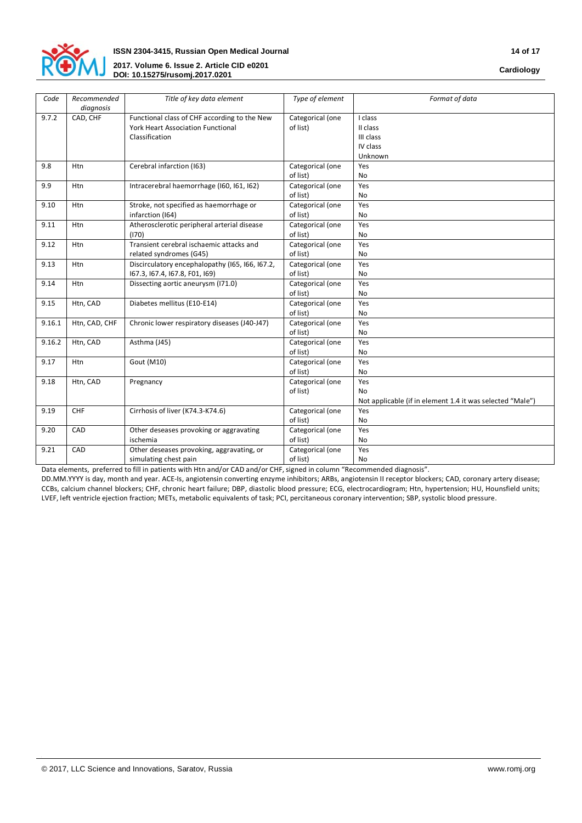

| Code   | Recommended<br>diagnosis | Title of key data element                       | Type of element  | Format of data                                            |
|--------|--------------------------|-------------------------------------------------|------------------|-----------------------------------------------------------|
| 9.7.2  | CAD, CHF                 | Functional class of CHF according to the New    | Categorical (one | I class                                                   |
|        |                          | <b>York Heart Association Functional</b>        | of list)         | II class                                                  |
|        |                          | Classification                                  |                  | III class<br>IV class                                     |
|        |                          |                                                 |                  | Unknown                                                   |
|        |                          |                                                 |                  |                                                           |
| 9.8    | Htn                      | Cerebral infarction (163)                       | Categorical (one | Yes                                                       |
|        |                          |                                                 | of list)         | No                                                        |
| 9.9    | <b>Htn</b>               | Intracerebral haemorrhage (I60, I61, I62)       | Categorical (one | Yes                                                       |
|        |                          |                                                 | of list)         | N <sub>o</sub>                                            |
| 9.10   | Htn                      | Stroke, not specified as haemorrhage or         | Categorical (one | Yes                                                       |
|        |                          | infarction (164)                                | of list)         | No                                                        |
| 9.11   | Htn                      | Atherosclerotic peripheral arterial disease     | Categorical (one | Yes                                                       |
|        |                          | (170)                                           | of list)         | <b>No</b>                                                 |
| 9.12   | Htn                      | Transient cerebral ischaemic attacks and        | Categorical (one | Yes                                                       |
|        |                          | related syndromes (G45)                         | of list)         | No                                                        |
| 9.13   | Htn                      | Discirculatory encephalopathy (I65, I66, I67.2, | Categorical (one | Yes                                                       |
|        |                          | 167.3, 167.4, 167.8, F01, 169)                  | of list)         | <b>No</b>                                                 |
| 9.14   | <b>Htn</b>               | Dissecting aortic aneurysm (I71.0)              | Categorical (one | Yes                                                       |
|        |                          |                                                 | of list)         | <b>No</b>                                                 |
| 9.15   | Htn, CAD                 | Diabetes mellitus (E10-E14)                     | Categorical (one | Yes                                                       |
|        |                          |                                                 | of list)         | No                                                        |
| 9.16.1 | Htn, CAD, CHF            | Chronic lower respiratory diseases (J40-J47)    | Categorical (one | Yes                                                       |
|        |                          |                                                 | of list)         | No                                                        |
| 9.16.2 | Htn, CAD                 | Asthma (J45)                                    | Categorical (one | Yes                                                       |
|        |                          |                                                 | of list)         | No                                                        |
| 9.17   | Htn                      | Gout (M10)                                      | Categorical (one | Yes                                                       |
|        |                          |                                                 | of list)         | No                                                        |
| 9.18   | Htn, CAD                 | Pregnancy                                       | Categorical (one | Yes                                                       |
|        |                          |                                                 | of list)         | <b>No</b>                                                 |
|        |                          |                                                 |                  | Not applicable (if in element 1.4 it was selected "Male") |
| 9.19   | CHF                      | Cirrhosis of liver (K74.3-K74.6)                | Categorical (one | Yes                                                       |
|        |                          |                                                 | of list)         | <b>No</b>                                                 |
| 9.20   | CAD                      | Other deseases provoking or aggravating         | Categorical (one | Yes                                                       |
|        |                          | ischemia                                        | of list)         | No                                                        |
| 9.21   | CAD                      | Other deseases provoking, aggravating, or       | Categorical (one | Yes                                                       |
|        |                          | simulating chest pain                           | of list)         | No                                                        |

Data elements, preferred to fill in patients with Htn and/or CAD and/or CHF, signed in column "Recommended diagnosis".

DD.MM.YYYY is day, month and year. ACE-Is, angiotensin converting enzyme inhibitors; ARBs, angiotensin II receptor blockers; CAD, coronary artery disease; CCBs, calcium channel blockers; CHF, chronic heart failure; DBP, diastolic blood pressure; ECG, electrocardiogram; Htn, hypertension; HU, Hounsfield units; LVEF, left ventricle ejection fraction; METs, metabolic equivalents of task; PCI, percitaneous coronary intervention; SBP, systolic blood pressure.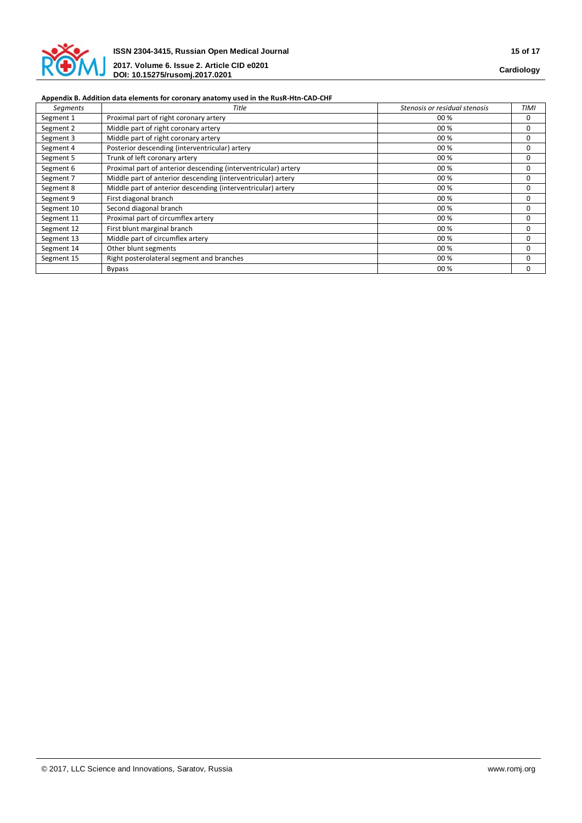

# **Appendix B. Addition data elements for coronary anatomy used in the RusR-Htn-CAD-CHF**

| <b>Segments</b> | Title                                                          | Stenosis or residual stenosis | TIMI     |
|-----------------|----------------------------------------------------------------|-------------------------------|----------|
| Segment 1       | Proximal part of right coronary artery                         | 00 %                          | 0        |
| Segment 2       | Middle part of right coronary artery                           | 00 %                          | 0        |
| Segment 3       | Middle part of right coronary artery                           | 00 %                          | 0        |
| Segment 4       | Posterior descending (interventricular) artery                 | 00 %                          | 0        |
| Segment 5       | Trunk of left coronary artery                                  | 00 %                          | $\Omega$ |
| Segment 6       | Proximal part of anterior descending (interventricular) artery | 00 %                          | 0        |
| Segment 7       | Middle part of anterior descending (interventricular) artery   | 00 %                          | 0        |
| Segment 8       | Middle part of anterior descending (interventricular) artery   | 00 %                          | 0        |
| Segment 9       | First diagonal branch                                          | 00 %                          | 0        |
| Segment 10      | Second diagonal branch                                         | 00 %                          | 0        |
| Segment 11      | Proximal part of circumflex artery                             | 00 %                          | 0        |
| Segment 12      | First blunt marginal branch                                    | 00 %                          | 0        |
| Segment 13      | Middle part of circumflex artery                               | 00 %                          | 0        |
| Segment 14      | Other blunt segments                                           | 00 %                          | 0        |
| Segment 15      | Right posterolateral segment and branches                      | 00 %                          | 0        |
|                 | <b>Bypass</b>                                                  | 00 %                          | 0        |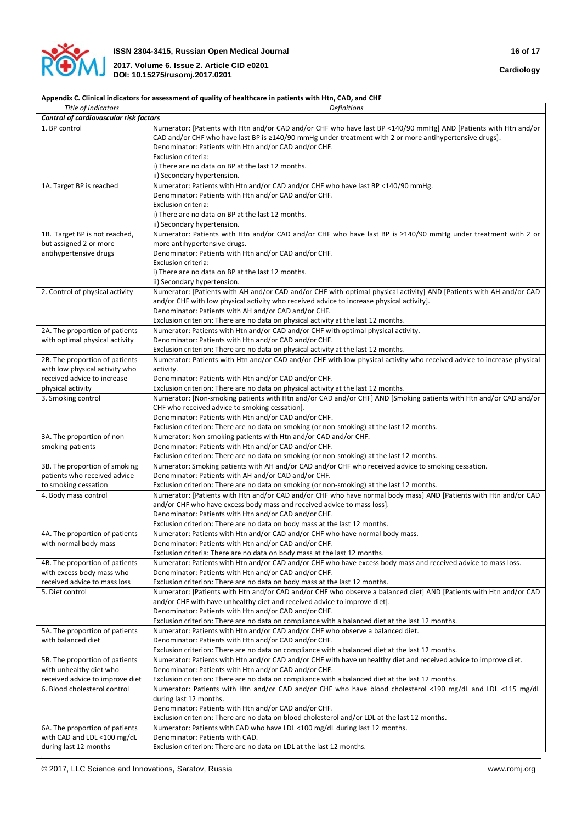

# **Appendix С. Clinical indicators for assessment of quality of healthcare in patients with Htn, CAD, and CHF**

| Title of indicators                                           | <b>Definitions</b>                                                                                                                                                                                                                                                                   |
|---------------------------------------------------------------|--------------------------------------------------------------------------------------------------------------------------------------------------------------------------------------------------------------------------------------------------------------------------------------|
| Control of cardiovascular risk factors                        |                                                                                                                                                                                                                                                                                      |
| 1. BP control                                                 | Numerator: [Patients with Htn and/or CAD and/or CHF who have last BP <140/90 mmHg] AND [Patients with Htn and/or<br>CAD and/or CHF who have last BP is ≥140/90 mmHg under treatment with 2 or more antihypertensive drugs].<br>Denominator: Patients with Htn and/or CAD and/or CHF. |
|                                                               | Exclusion criteria:<br>i) There are no data on BP at the last 12 months.                                                                                                                                                                                                             |
|                                                               | ii) Secondary hypertension.                                                                                                                                                                                                                                                          |
| 1A. Target BP is reached                                      | Numerator: Patients with Htn and/or CAD and/or CHF who have last BP <140/90 mmHg.<br>Denominator: Patients with Htn and/or CAD and/or CHF.<br>Exclusion criteria:                                                                                                                    |
|                                                               | i) There are no data on BP at the last 12 months.<br>ii) Secondary hypertension.                                                                                                                                                                                                     |
| 1B. Target BP is not reached,                                 | Numerator: Patients with Htn and/or CAD and/or CHF who have last BP is ≥140/90 mmHg under treatment with 2 or                                                                                                                                                                        |
| but assigned 2 or more                                        | more antihypertensive drugs.                                                                                                                                                                                                                                                         |
| antihypertensive drugs                                        | Denominator: Patients with Htn and/or CAD and/or CHF.                                                                                                                                                                                                                                |
|                                                               | Exclusion criteria:                                                                                                                                                                                                                                                                  |
|                                                               | i) There are no data on BP at the last 12 months.                                                                                                                                                                                                                                    |
|                                                               | ii) Secondary hypertension.                                                                                                                                                                                                                                                          |
| 2. Control of physical activity                               | Numerator: [Patients with AH and/or CAD and/or CHF with optimal physical activity] AND [Patients with AH and/or CAD                                                                                                                                                                  |
|                                                               | and/or CHF with low physical activity who received advice to increase physical activity].<br>Denominator: Patients with AH and/or CAD and/or CHF.                                                                                                                                    |
|                                                               | Exclusion criterion: There are no data on physical activity at the last 12 months.                                                                                                                                                                                                   |
| 2A. The proportion of patients                                | Numerator: Patients with Htn and/or CAD and/or CHF with optimal physical activity.                                                                                                                                                                                                   |
| with optimal physical activity                                | Denominator: Patients with Htn and/or CAD and/or CHF.                                                                                                                                                                                                                                |
|                                                               | Exclusion criterion: There are no data on physical activity at the last 12 months.                                                                                                                                                                                                   |
| 2B. The proportion of patients                                | Numerator: Patients with Htn and/or CAD and/or CHF with low physical activity who received advice to increase physical                                                                                                                                                               |
| with low physical activity who                                | activity.                                                                                                                                                                                                                                                                            |
| received advice to increase                                   | Denominator: Patients with Htn and/or CAD and/or CHF.                                                                                                                                                                                                                                |
| physical activity                                             | Exclusion criterion: There are no data on physical activity at the last 12 months.                                                                                                                                                                                                   |
| 3. Smoking control                                            | Numerator: [Non-smoking patients with Htn and/or CAD and/or CHF] AND [Smoking patients with Htn and/or CAD and/or                                                                                                                                                                    |
|                                                               | CHF who received advice to smoking cessation].                                                                                                                                                                                                                                       |
|                                                               | Denominator: Patients with Htn and/or CAD and/or CHF.                                                                                                                                                                                                                                |
|                                                               | Exclusion criterion: There are no data on smoking (or non-smoking) at the last 12 months.                                                                                                                                                                                            |
| 3A. The proportion of non-                                    | Numerator: Non-smoking patients with Htn and/or CAD and/or CHF.                                                                                                                                                                                                                      |
| smoking patients                                              | Denominator: Patients with Htn and/or CAD and/or CHF.                                                                                                                                                                                                                                |
| 3B. The proportion of smoking                                 | Exclusion criterion: There are no data on smoking (or non-smoking) at the last 12 months.<br>Numerator: Smoking patients with AH and/or CAD and/or CHF who received advice to smoking cessation.                                                                                     |
| patients who received advice                                  | Denominator: Patients with AH and/or CAD and/or CHF.                                                                                                                                                                                                                                 |
| to smoking cessation                                          | Exclusion criterion: There are no data on smoking (or non-smoking) at the last 12 months.                                                                                                                                                                                            |
| 4. Body mass control                                          | Numerator: [Patients with Htn and/or CAD and/or CHF who have normal body mass] AND [Patients with Htn and/or CAD                                                                                                                                                                     |
|                                                               | and/or CHF who have excess body mass and received advice to mass loss].                                                                                                                                                                                                              |
|                                                               | Denominator: Patients with Htn and/or CAD and/or CHF.                                                                                                                                                                                                                                |
|                                                               | Exclusion criterion: There are no data on body mass at the last 12 months.                                                                                                                                                                                                           |
| 4A. The proportion of patients                                | Numerator: Patients with Htn and/or CAD and/or CHF who have normal body mass.                                                                                                                                                                                                        |
| with normal body mass                                         | Denominator: Patients with Htn and/or CAD and/or CHF.                                                                                                                                                                                                                                |
|                                                               | Exclusion criteria: There are no data on body mass at the last 12 months.                                                                                                                                                                                                            |
| 4B. The proportion of patients                                | Numerator: Patients with Htn and/or CAD and/or CHF who have excess body mass and received advice to mass loss.                                                                                                                                                                       |
| with excess body mass who                                     | Denominator: Patients with Htn and/or CAD and/or CHF.                                                                                                                                                                                                                                |
| received advice to mass loss<br>5. Diet control               | Exclusion criterion: There are no data on body mass at the last 12 months.<br>Numerator: [Patients with Htn and/or CAD and/or CHF who observe a balanced diet] AND [Patients with Htn and/or CAD                                                                                     |
|                                                               | and/or CHF with have unhealthy diet and received advice to improve diet.                                                                                                                                                                                                             |
|                                                               | Denominator: Patients with Htn and/or CAD and/or CHF.                                                                                                                                                                                                                                |
|                                                               | Exclusion criterion: There are no data on compliance with a balanced diet at the last 12 months.                                                                                                                                                                                     |
| 5A. The proportion of patients                                | Numerator: Patients with Htn and/or CAD and/or CHF who observe a balanced diet.                                                                                                                                                                                                      |
| with balanced diet                                            | Denominator: Patients with Htn and/or CAD and/or CHF.                                                                                                                                                                                                                                |
|                                                               | Exclusion criterion: There are no data on compliance with a balanced diet at the last 12 months.                                                                                                                                                                                     |
| 5B. The proportion of patients                                | Numerator: Patients with Htn and/or CAD and/or CHF with have unhealthy diet and received advice to improve diet.                                                                                                                                                                     |
| with unhealthy diet who                                       | Denominator: Patients with Htn and/or CAD and/or CHF.                                                                                                                                                                                                                                |
| received advice to improve diet                               | Exclusion criterion: There are no data on compliance with a balanced diet at the last 12 months.                                                                                                                                                                                     |
| 6. Blood cholesterol control                                  | Numerator: Patients with Htn and/or CAD and/or CHF who have blood cholesterol <190 mg/dL and LDL <115 mg/dL                                                                                                                                                                          |
|                                                               | during last 12 months.                                                                                                                                                                                                                                                               |
|                                                               | Denominator: Patients with Htn and/or CAD and/or CHF.                                                                                                                                                                                                                                |
|                                                               | Exclusion criterion: There are no data on blood cholesterol and/or LDL at the last 12 months.                                                                                                                                                                                        |
| 6A. The proportion of patients<br>with CAD and LDL <100 mg/dL | Numerator: Patients with CAD who have LDL <100 mg/dL during last 12 months.<br>Denominator: Patients with CAD.                                                                                                                                                                       |
| during last 12 months                                         | Exclusion criterion: There are no data on LDL at the last 12 months.                                                                                                                                                                                                                 |
|                                                               |                                                                                                                                                                                                                                                                                      |